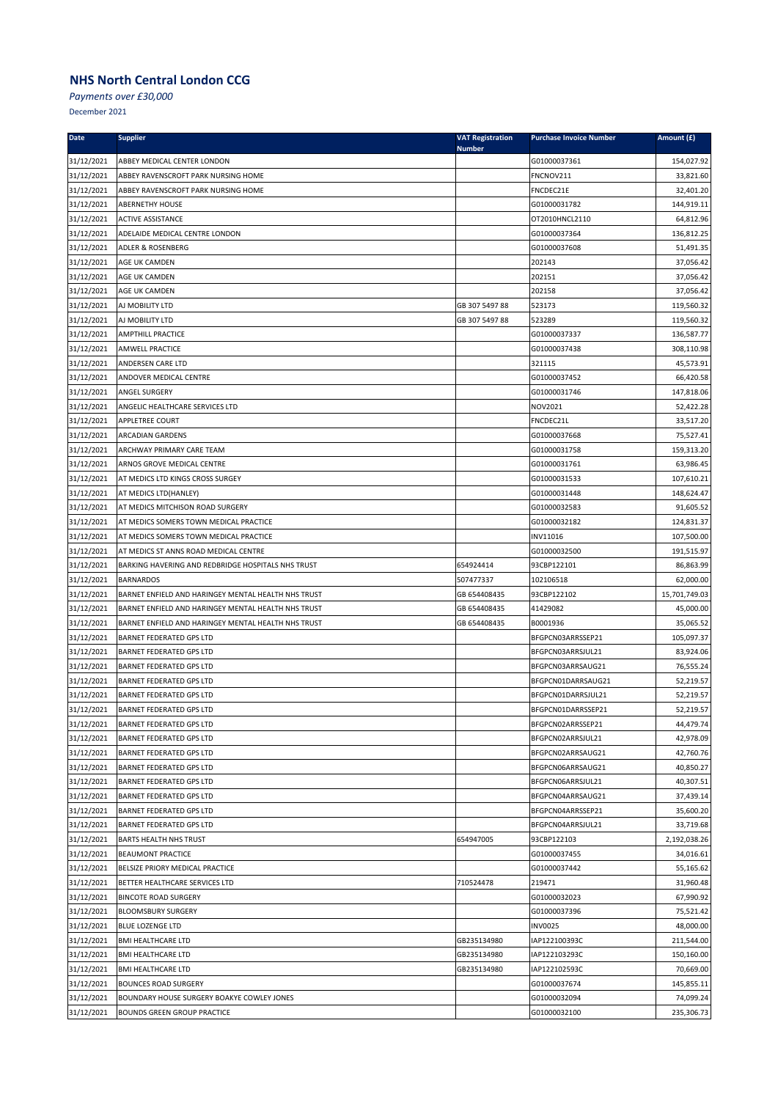*Payments over £30,000*

| <b>Date</b> | <b>Supplier</b>                                     | <b>VAT Registration</b><br><b>Number</b> | <b>Purchase Invoice Number</b> | Amount (£)    |
|-------------|-----------------------------------------------------|------------------------------------------|--------------------------------|---------------|
| 31/12/2021  | ABBEY MEDICAL CENTER LONDON                         |                                          | G01000037361                   | 154,027.92    |
| 31/12/2021  | ABBEY RAVENSCROFT PARK NURSING HOME                 |                                          | FNCNOV211                      | 33,821.60     |
| 31/12/2021  | ABBEY RAVENSCROFT PARK NURSING HOME                 |                                          | FNCDEC21E                      | 32,401.20     |
| 31/12/2021  | <b>ABERNETHY HOUSE</b>                              |                                          | G01000031782                   | 144,919.11    |
| 31/12/2021  | <b>ACTIVE ASSISTANCE</b>                            |                                          | OT2010HNCL2110                 | 64,812.96     |
| 31/12/2021  | ADELAIDE MEDICAL CENTRE LONDON                      |                                          | G01000037364                   | 136,812.25    |
| 31/12/2021  | ADLER & ROSENBERG                                   |                                          | G01000037608                   | 51,491.35     |
| 31/12/2021  | AGE UK CAMDEN                                       |                                          | 202143                         | 37,056.42     |
| 31/12/2021  | AGE UK CAMDEN                                       |                                          | 202151                         | 37,056.42     |
| 31/12/2021  | AGE UK CAMDEN                                       |                                          | 202158                         | 37,056.42     |
| 31/12/2021  | AJ MOBILITY LTD                                     | GB 307 5497 88                           | 523173                         | 119,560.32    |
| 31/12/2021  | AJ MOBILITY LTD                                     | GB 307 5497 88                           | 523289                         | 119,560.32    |
| 31/12/2021  | <b>AMPTHILL PRACTICE</b>                            |                                          | G01000037337                   | 136,587.77    |
| 31/12/2021  | AMWELL PRACTICE                                     |                                          | G01000037438                   | 308,110.98    |
| 31/12/2021  | ANDERSEN CARE LTD                                   |                                          | 321115                         | 45,573.91     |
| 31/12/2021  | ANDOVER MEDICAL CENTRE                              |                                          | G01000037452                   | 66,420.58     |
| 31/12/2021  | ANGEL SURGERY                                       |                                          | G01000031746                   | 147,818.06    |
| 31/12/2021  | ANGELIC HEALTHCARE SERVICES LTD                     |                                          | NOV2021                        | 52,422.28     |
| 31/12/2021  | APPLETREE COURT                                     |                                          | FNCDEC21L                      | 33,517.20     |
| 31/12/2021  | ARCADIAN GARDENS                                    |                                          | G01000037668                   | 75,527.41     |
| 31/12/2021  | ARCHWAY PRIMARY CARE TEAM                           |                                          | G01000031758                   | 159,313.20    |
| 31/12/2021  | ARNOS GROVE MEDICAL CENTRE                          |                                          | G01000031761                   | 63,986.45     |
| 31/12/2021  | AT MEDICS LTD KINGS CROSS SURGEY                    |                                          | G01000031533                   | 107,610.21    |
| 31/12/2021  | AT MEDICS LTD(HANLEY)                               |                                          | G01000031448                   | 148,624.47    |
| 31/12/2021  | AT MEDICS MITCHISON ROAD SURGERY                    |                                          | G01000032583                   | 91,605.52     |
| 31/12/2021  | AT MEDICS SOMERS TOWN MEDICAL PRACTICE              |                                          | G01000032182                   | 124,831.37    |
| 31/12/2021  | AT MEDICS SOMERS TOWN MEDICAL PRACTICE              |                                          | <b>INV11016</b>                | 107,500.00    |
| 31/12/2021  | AT MEDICS ST ANNS ROAD MEDICAL CENTRE               |                                          | G01000032500                   | 191,515.97    |
| 31/12/2021  | BARKING HAVERING AND REDBRIDGE HOSPITALS NHS TRUST  | 654924414                                | 93CBP122101                    | 86,863.99     |
| 31/12/2021  | <b>BARNARDOS</b>                                    | 507477337                                | 102106518                      | 62,000.00     |
| 31/12/2021  | BARNET ENFIELD AND HARINGEY MENTAL HEALTH NHS TRUST | GB 654408435                             | 93CBP122102                    | 15,701,749.03 |
| 31/12/2021  | BARNET ENFIELD AND HARINGEY MENTAL HEALTH NHS TRUST | GB 654408435                             | 41429082                       | 45,000.00     |
| 31/12/2021  | BARNET ENFIELD AND HARINGEY MENTAL HEALTH NHS TRUST | GB 654408435                             | B0001936                       | 35,065.52     |
| 31/12/2021  | <b>BARNET FEDERATED GPS LTD</b>                     |                                          | BFGPCN03ARRSSEP21              | 105,097.37    |
| 31/12/2021  | <b>BARNET FEDERATED GPS LTD</b>                     |                                          | BFGPCN03ARRSJUL21              | 83,924.06     |
| 31/12/2021  | <b>BARNET FEDERATED GPS LTD</b>                     |                                          | BFGPCN03ARRSAUG21              | 76,555.24     |
| 31/12/2021  | BARNET FEDERATED GPS LTD                            |                                          | BFGPCN01DARRSAUG21             | 52,219.57     |
| 31/12/2021  | <b>BARNET FEDERATED GPS LTD</b>                     |                                          | BFGPCN01DARRSJUL21             | 52,219.57     |
| 31/12/2021  | <b>BARNET FEDERATED GPS LTD</b>                     |                                          | BFGPCN01DARRSSEP21             | 52,219.57     |
| 31/12/2021  | <b>BARNET FEDERATED GPS LTD</b>                     |                                          | BFGPCN02ARRSSEP21              | 44,479.74     |
| 31/12/2021  | <b>BARNET FEDERATED GPS LTD</b>                     |                                          | BFGPCN02ARRSJUL21              | 42,978.09     |
| 31/12/2021  | <b>BARNET FEDERATED GPS LTD</b>                     |                                          | BFGPCN02ARRSAUG21              | 42,760.76     |
| 31/12/2021  | <b>BARNET FEDERATED GPS LTD</b>                     |                                          | BFGPCN06ARRSAUG21              | 40,850.27     |
| 31/12/2021  | BARNET FEDERATED GPS LTD                            |                                          | BFGPCN06ARRSJUL21              | 40,307.51     |
| 31/12/2021  | <b>BARNET FEDERATED GPS LTD</b>                     |                                          | BFGPCN04ARRSAUG21              | 37,439.14     |
| 31/12/2021  | BARNET FEDERATED GPS LTD                            |                                          | BFGPCN04ARRSSEP21              | 35,600.20     |
| 31/12/2021  | <b>BARNET FEDERATED GPS LTD</b>                     |                                          | BFGPCN04ARRSJUL21              | 33,719.68     |
| 31/12/2021  | <b>BARTS HEALTH NHS TRUST</b>                       | 654947005                                | 93CBP122103                    | 2,192,038.26  |
| 31/12/2021  | <b>BEAUMONT PRACTICE</b>                            |                                          | G01000037455                   | 34,016.61     |
| 31/12/2021  | BELSIZE PRIORY MEDICAL PRACTICE                     |                                          | G01000037442                   | 55,165.62     |
| 31/12/2021  | BETTER HEALTHCARE SERVICES LTD                      | 710524478                                | 219471                         | 31,960.48     |
| 31/12/2021  | <b>BINCOTE ROAD SURGERY</b>                         |                                          | G01000032023                   | 67,990.92     |
| 31/12/2021  | <b>BLOOMSBURY SURGERY</b>                           |                                          | G01000037396                   | 75,521.42     |
| 31/12/2021  | <b>BLUE LOZENGE LTD</b>                             |                                          | <b>INV0025</b>                 | 48,000.00     |
| 31/12/2021  | <b>BMI HEALTHCARE LTD</b>                           | GB235134980                              | IAP122100393C                  | 211,544.00    |
| 31/12/2021  | <b>BMI HEALTHCARE LTD</b>                           | GB235134980                              | IAP122103293C                  | 150,160.00    |
| 31/12/2021  | <b>BMI HEALTHCARE LTD</b>                           | GB235134980                              | IAP122102593C                  | 70,669.00     |
| 31/12/2021  | <b>BOUNCES ROAD SURGERY</b>                         |                                          | G01000037674                   | 145,855.11    |
| 31/12/2021  | BOUNDARY HOUSE SURGERY BOAKYE COWLEY JONES          |                                          | G01000032094                   | 74,099.24     |
| 31/12/2021  | <b>BOUNDS GREEN GROUP PRACTICE</b>                  |                                          | G01000032100                   | 235,306.73    |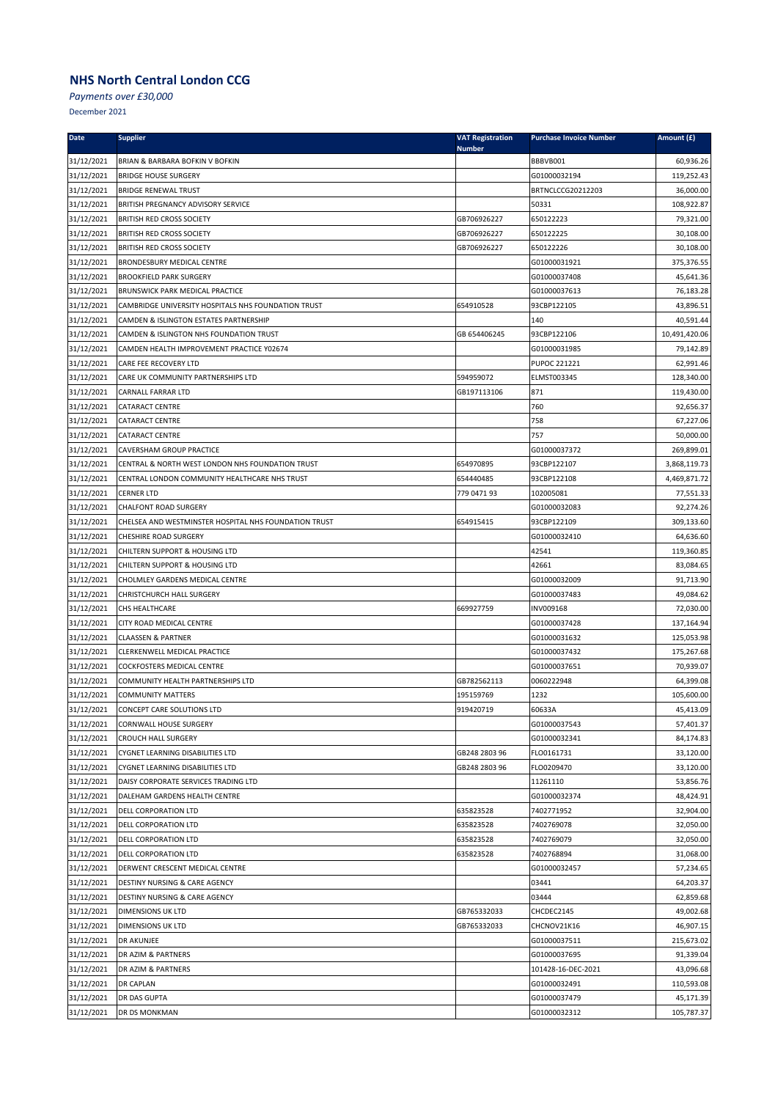*Payments over £30,000*

| <b>Date</b> | <b>Supplier</b>                                       | <b>VAT Registration</b><br><b>Number</b> | <b>Purchase Invoice Number</b> | Amount (£)    |
|-------------|-------------------------------------------------------|------------------------------------------|--------------------------------|---------------|
| 31/12/2021  | BRIAN & BARBARA BOFKIN V BOFKIN                       |                                          | BBBVB001                       | 60,936.26     |
| 31/12/2021  | <b>BRIDGE HOUSE SURGERY</b>                           |                                          | G01000032194                   | 119,252.43    |
| 31/12/2021  | <b>BRIDGE RENEWAL TRUST</b>                           |                                          | BRTNCLCCG20212203              | 36,000.00     |
| 31/12/2021  | BRITISH PREGNANCY ADVISORY SERVICE                    |                                          | 50331                          | 108,922.87    |
| 31/12/2021  | <b>BRITISH RED CROSS SOCIETY</b>                      | GB706926227                              | 650122223                      | 79,321.00     |
| 31/12/2021  | <b>BRITISH RED CROSS SOCIETY</b>                      | GB706926227                              | 650122225                      | 30,108.00     |
| 31/12/2021  | <b>BRITISH RED CROSS SOCIETY</b>                      | GB706926227                              | 650122226                      | 30,108.00     |
| 31/12/2021  | BRONDESBURY MEDICAL CENTRE                            |                                          | G01000031921                   | 375,376.55    |
| 31/12/2021  | <b>BROOKFIELD PARK SURGERY</b>                        |                                          | G01000037408                   | 45,641.36     |
| 31/12/2021  | BRUNSWICK PARK MEDICAL PRACTICE                       |                                          | G01000037613                   | 76,183.28     |
| 31/12/2021  | CAMBRIDGE UNIVERSITY HOSPITALS NHS FOUNDATION TRUST   | 654910528                                | 93CBP122105                    | 43,896.51     |
| 31/12/2021  | CAMDEN & ISLINGTON ESTATES PARTNERSHIP                |                                          | 140                            | 40,591.44     |
| 31/12/2021  | CAMDEN & ISLINGTON NHS FOUNDATION TRUST               | GB 654406245                             | 93CBP122106                    | 10,491,420.06 |
| 31/12/2021  | CAMDEN HEALTH IMPROVEMENT PRACTICE Y02674             |                                          | G01000031985                   | 79,142.89     |
| 31/12/2021  | CARE FEE RECOVERY LTD                                 |                                          | PUPOC 221221                   | 62,991.46     |
| 31/12/2021  | CARE UK COMMUNITY PARTNERSHIPS LTD                    | 594959072                                | ELMST003345                    | 128,340.00    |
| 31/12/2021  | CARNALL FARRAR LTD                                    | GB197113106                              | 871                            | 119,430.00    |
| 31/12/2021  | <b>CATARACT CENTRE</b>                                |                                          | 760                            | 92,656.37     |
| 31/12/2021  | <b>CATARACT CENTRE</b>                                |                                          | 758                            | 67,227.06     |
| 31/12/2021  | CATARACT CENTRE                                       |                                          | 757                            | 50,000.00     |
| 31/12/2021  | CAVERSHAM GROUP PRACTICE                              |                                          | G01000037372                   | 269,899.01    |
| 31/12/2021  | CENTRAL & NORTH WEST LONDON NHS FOUNDATION TRUST      | 654970895                                | 93CBP122107                    | 3,868,119.73  |
| 31/12/2021  | CENTRAL LONDON COMMUNITY HEALTHCARE NHS TRUST         | 654440485                                | 93CBP122108                    | 4,469,871.72  |
| 31/12/2021  | <b>CERNER LTD</b>                                     | 779 0471 93                              | 102005081                      | 77,551.33     |
| 31/12/2021  | <b>CHALFONT ROAD SURGERY</b>                          |                                          | G01000032083                   | 92,274.26     |
| 31/12/2021  | CHELSEA AND WESTMINSTER HOSPITAL NHS FOUNDATION TRUST | 654915415                                | 93CBP122109                    | 309,133.60    |
| 31/12/2021  | CHESHIRE ROAD SURGERY                                 |                                          | G01000032410                   | 64,636.60     |
| 31/12/2021  | CHILTERN SUPPORT & HOUSING LTD                        |                                          | 42541                          | 119,360.85    |
| 31/12/2021  | CHILTERN SUPPORT & HOUSING LTD                        |                                          | 42661                          | 83,084.65     |
| 31/12/2021  | CHOLMLEY GARDENS MEDICAL CENTRE                       |                                          | G01000032009                   | 91,713.90     |
| 31/12/2021  | CHRISTCHURCH HALL SURGERY                             |                                          | G01000037483                   | 49,084.62     |
| 31/12/2021  | CHS HEALTHCARE                                        | 669927759                                | INV009168                      | 72,030.00     |
| 31/12/2021  | CITY ROAD MEDICAL CENTRE                              |                                          | G01000037428                   | 137,164.94    |
| 31/12/2021  | <b>CLAASSEN &amp; PARTNER</b>                         |                                          | G01000031632                   | 125,053.98    |
| 31/12/2021  | CLERKENWELL MEDICAL PRACTICE                          |                                          | G01000037432                   | 175,267.68    |
| 31/12/2021  | COCKFOSTERS MEDICAL CENTRE                            |                                          | G01000037651                   | 70,939.07     |
| 31/12/2021  | COMMUNITY HEALTH PARTNERSHIPS LTD                     | GB782562113                              | 0060222948                     | 64,399.08     |
| 31/12/2021  | <b>COMMUNITY MATTERS</b>                              | 195159769                                | 1232                           | 105,600.00    |
| 31/12/2021  | CONCEPT CARE SOLUTIONS LTD                            | 919420719                                | 60633A                         | 45,413.09     |
| 31/12/2021  | CORNWALL HOUSE SURGERY                                |                                          | G01000037543                   | 57,401.37     |
| 31/12/2021  | <b>CROUCH HALL SURGERY</b>                            |                                          | G01000032341                   | 84,174.83     |
| 31/12/2021  | CYGNET LEARNING DISABILITIES LTD                      | GB248 2803 96                            | FLO0161731                     | 33,120.00     |
| 31/12/2021  | CYGNET LEARNING DISABILITIES LTD                      | GB248 2803 96                            | FLO0209470                     | 33,120.00     |
| 31/12/2021  | DAISY CORPORATE SERVICES TRADING LTD                  |                                          | 11261110                       | 53,856.76     |
| 31/12/2021  | DALEHAM GARDENS HEALTH CENTRE                         |                                          | G01000032374                   | 48,424.91     |
| 31/12/2021  | <b>DELL CORPORATION LTD</b>                           | 635823528                                | 7402771952                     | 32,904.00     |
| 31/12/2021  | <b>DELL CORPORATION LTD</b>                           | 635823528                                | 7402769078                     | 32,050.00     |
| 31/12/2021  | DELL CORPORATION LTD                                  | 635823528                                | 7402769079                     | 32,050.00     |
| 31/12/2021  | DELL CORPORATION LTD                                  | 635823528                                | 7402768894                     | 31,068.00     |
| 31/12/2021  | DERWENT CRESCENT MEDICAL CENTRE                       |                                          | G01000032457                   | 57,234.65     |
| 31/12/2021  | DESTINY NURSING & CARE AGENCY                         |                                          | 03441                          | 64,203.37     |
| 31/12/2021  | <b>DESTINY NURSING &amp; CARE AGENCY</b>              |                                          | 03444                          | 62,859.68     |
| 31/12/2021  | <b>DIMENSIONS UK LTD</b>                              | GB765332033                              | CHCDEC2145                     | 49,002.68     |
| 31/12/2021  | DIMENSIONS UK LTD                                     | GB765332033                              | CHCNOV21K16                    | 46,907.15     |
| 31/12/2021  | DR AKUNJEE                                            |                                          | G01000037511                   | 215,673.02    |
| 31/12/2021  | DR AZIM & PARTNERS                                    |                                          | G01000037695                   | 91,339.04     |
| 31/12/2021  | DR AZIM & PARTNERS                                    |                                          | 101428-16-DEC-2021             | 43,096.68     |
| 31/12/2021  | DR CAPLAN                                             |                                          | G01000032491                   | 110,593.08    |
| 31/12/2021  | DR DAS GUPTA                                          |                                          | G01000037479                   | 45,171.39     |
| 31/12/2021  | DR DS MONKMAN                                         |                                          | G01000032312                   | 105,787.37    |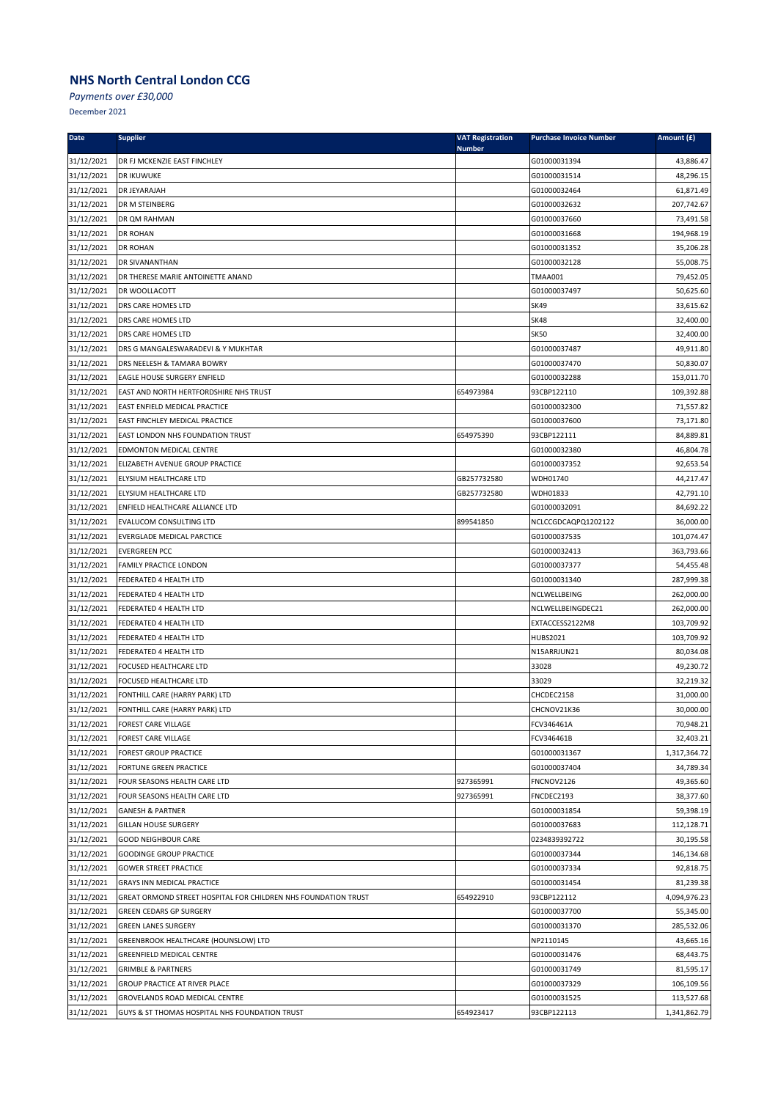*Payments over £30,000*

| <b>Date</b>              | <b>Supplier</b>                                                                              | <b>VAT Registration</b><br><b>Number</b> | <b>Purchase Invoice Number</b> | Amount (£)             |
|--------------------------|----------------------------------------------------------------------------------------------|------------------------------------------|--------------------------------|------------------------|
| 31/12/2021               | DR FJ MCKENZIE EAST FINCHLEY                                                                 |                                          | G01000031394                   | 43,886.47              |
| 31/12/2021               | DR IKUWUKE                                                                                   |                                          | G01000031514                   | 48,296.15              |
| 31/12/2021               | DR JEYARAJAH                                                                                 |                                          | G01000032464                   | 61,871.49              |
| 31/12/2021               | DR M STEINBERG                                                                               |                                          | G01000032632                   | 207,742.67             |
| 31/12/2021               | DR QM RAHMAN                                                                                 |                                          | G01000037660                   | 73,491.58              |
| 31/12/2021               | DR ROHAN                                                                                     |                                          | G01000031668                   | 194,968.19             |
| 31/12/2021               | DR ROHAN                                                                                     |                                          | G01000031352                   | 35,206.28              |
| 31/12/2021               | DR SIVANANTHAN                                                                               |                                          | G01000032128                   | 55,008.75              |
| 31/12/2021               | DR THERESE MARIE ANTOINETTE ANAND                                                            |                                          | <b>TMAA001</b>                 | 79,452.05              |
| 31/12/2021               | DR WOOLLACOTT                                                                                |                                          | G01000037497                   | 50,625.60              |
| 31/12/2021               | DRS CARE HOMES LTD                                                                           |                                          | <b>SK49</b>                    | 33,615.62              |
| 31/12/2021               | DRS CARE HOMES LTD                                                                           |                                          | <b>SK48</b>                    | 32,400.00              |
| 31/12/2021               | DRS CARE HOMES LTD                                                                           |                                          | <b>SK50</b>                    | 32,400.00              |
| 31/12/2021               | DRS G MANGALESWARADEVI & Y MUKHTAR                                                           |                                          | G01000037487                   | 49,911.80              |
| 31/12/2021               | DRS NEELESH & TAMARA BOWRY                                                                   |                                          | G01000037470                   | 50,830.07              |
| 31/12/2021               | EAGLE HOUSE SURGERY ENFIELD                                                                  |                                          | G01000032288                   | 153,011.70             |
| 31/12/2021               | EAST AND NORTH HERTFORDSHIRE NHS TRUST                                                       | 654973984                                | 93CBP122110                    | 109,392.88             |
| 31/12/2021               | EAST ENFIELD MEDICAL PRACTICE                                                                |                                          | G01000032300                   | 71,557.82              |
| 31/12/2021               | EAST FINCHLEY MEDICAL PRACTICE                                                               |                                          | G01000037600                   | 73,171.80              |
| 31/12/2021               | EAST LONDON NHS FOUNDATION TRUST                                                             | 654975390                                | 93CBP122111                    | 84,889.81              |
| 31/12/2021               | <b>EDMONTON MEDICAL CENTRE</b>                                                               |                                          | G01000032380                   | 46,804.78              |
| 31/12/2021               | ELIZABETH AVENUE GROUP PRACTICE                                                              |                                          | G01000037352                   | 92,653.54              |
| 31/12/2021               | ELYSIUM HEALTHCARE LTD                                                                       | GB257732580                              | WDH01740                       | 44,217.47              |
| 31/12/2021               | ELYSIUM HEALTHCARE LTD                                                                       | GB257732580                              | WDH01833                       | 42,791.10              |
| 31/12/2021               | ENFIELD HEALTHCARE ALLIANCE LTD                                                              |                                          | G01000032091                   | 84,692.22              |
| 31/12/2021               | EVALUCOM CONSULTING LTD                                                                      | 899541850                                | NCLCCGDCAQPQ1202122            | 36,000.00              |
| 31/12/2021               | EVERGLADE MEDICAL PARCTICE                                                                   |                                          | G01000037535                   | 101,074.47             |
| 31/12/2021               | <b>EVERGREEN PCC</b>                                                                         |                                          | G01000032413                   | 363,793.66             |
| 31/12/2021               | FAMILY PRACTICE LONDON                                                                       |                                          | G01000037377                   | 54,455.48              |
| 31/12/2021               | FEDERATED 4 HEALTH LTD                                                                       |                                          | G01000031340                   | 287,999.38             |
| 31/12/2021               | FEDERATED 4 HEALTH LTD                                                                       |                                          | NCLWELLBEING                   | 262,000.00             |
| 31/12/2021               | FEDERATED 4 HEALTH LTD                                                                       |                                          | NCLWELLBEINGDEC21              | 262,000.00             |
| 31/12/2021               | FEDERATED 4 HEALTH LTD                                                                       |                                          | EXTACCESS2122M8                | 103,709.92             |
| 31/12/2021               | FEDERATED 4 HEALTH LTD                                                                       |                                          | <b>HUBS2021</b>                | 103,709.92             |
| 31/12/2021               | FEDERATED 4 HEALTH LTD                                                                       |                                          | N15ARRJUN21                    | 80,034.08              |
| 31/12/2021               | FOCUSED HEALTHCARE LTD                                                                       |                                          | 33028                          | 49,230.72              |
| 31/12/2021               | FOCUSED HEALTHCARE LTD                                                                       |                                          | 33029                          | 32,219.32              |
| 31/12/2021               | FONTHILL CARE (HARRY PARK) LTD                                                               |                                          | CHCDEC2158                     | 31,000.00              |
| 31/12/2021               | FONTHILL CARE (HARRY PARK) LTD                                                               |                                          | CHCNOV21K36                    | 30,000.00              |
| 31/12/2021               | <b>FOREST CARE VILLAGE</b>                                                                   |                                          | FCV346461A                     | 70,948.21              |
| 31/12/2021               | FOREST CARE VILLAGE                                                                          |                                          | FCV346461B                     | 32,403.21              |
| 31/12/2021               | <b>FOREST GROUP PRACTICE</b>                                                                 |                                          | G01000031367                   | 1,317,364.72           |
| 31/12/2021               | FORTUNE GREEN PRACTICE                                                                       |                                          | G01000037404                   | 34,789.34              |
| 31/12/2021               | FOUR SEASONS HEALTH CARE LTD                                                                 | 927365991                                | FNCNOV2126                     | 49,365.60              |
| 31/12/2021               | FOUR SEASONS HEALTH CARE LTD                                                                 | 927365991                                | FNCDEC2193                     | 38,377.60              |
| 31/12/2021               | <b>GANESH &amp; PARTNER</b>                                                                  |                                          | G01000031854                   | 59,398.19              |
| 31/12/2021               | <b>GILLAN HOUSE SURGERY</b>                                                                  |                                          | G01000037683                   | 112,128.71             |
| 31/12/2021               | <b>GOOD NEIGHBOUR CARE</b>                                                                   |                                          | 0234839392722                  | 30,195.58              |
| 31/12/2021<br>31/12/2021 | <b>GOODINGE GROUP PRACTICE</b>                                                               |                                          | G01000037344                   | 146,134.68             |
|                          | <b>GOWER STREET PRACTICE</b>                                                                 |                                          | G01000037334                   | 92,818.75              |
| 31/12/2021               | GRAYS INN MEDICAL PRACTICE<br>GREAT ORMOND STREET HOSPITAL FOR CHILDREN NHS FOUNDATION TRUST | 654922910                                | G01000031454                   | 81,239.38              |
| 31/12/2021               |                                                                                              |                                          | 93CBP122112                    | 4,094,976.23           |
| 31/12/2021               | <b>GREEN CEDARS GP SURGERY</b><br><b>GREEN LANES SURGERY</b>                                 |                                          | G01000037700                   | 55,345.00              |
| 31/12/2021               |                                                                                              |                                          | G01000031370                   | 285,532.06             |
| 31/12/2021<br>31/12/2021 | GREENBROOK HEALTHCARE (HOUNSLOW) LTD<br>GREENFIELD MEDICAL CENTRE                            |                                          | NP2110145<br>G01000031476      | 43,665.16<br>68,443.75 |
|                          | <b>GRIMBLE &amp; PARTNERS</b>                                                                |                                          |                                | 81,595.17              |
| 31/12/2021<br>31/12/2021 | GROUP PRACTICE AT RIVER PLACE                                                                |                                          | G01000031749<br>G01000037329   | 106,109.56             |
| 31/12/2021               | GROVELANDS ROAD MEDICAL CENTRE                                                               |                                          | G01000031525                   | 113,527.68             |
| 31/12/2021               | GUYS & ST THOMAS HOSPITAL NHS FOUNDATION TRUST                                               | 654923417                                | 93CBP122113                    | 1,341,862.79           |
|                          |                                                                                              |                                          |                                |                        |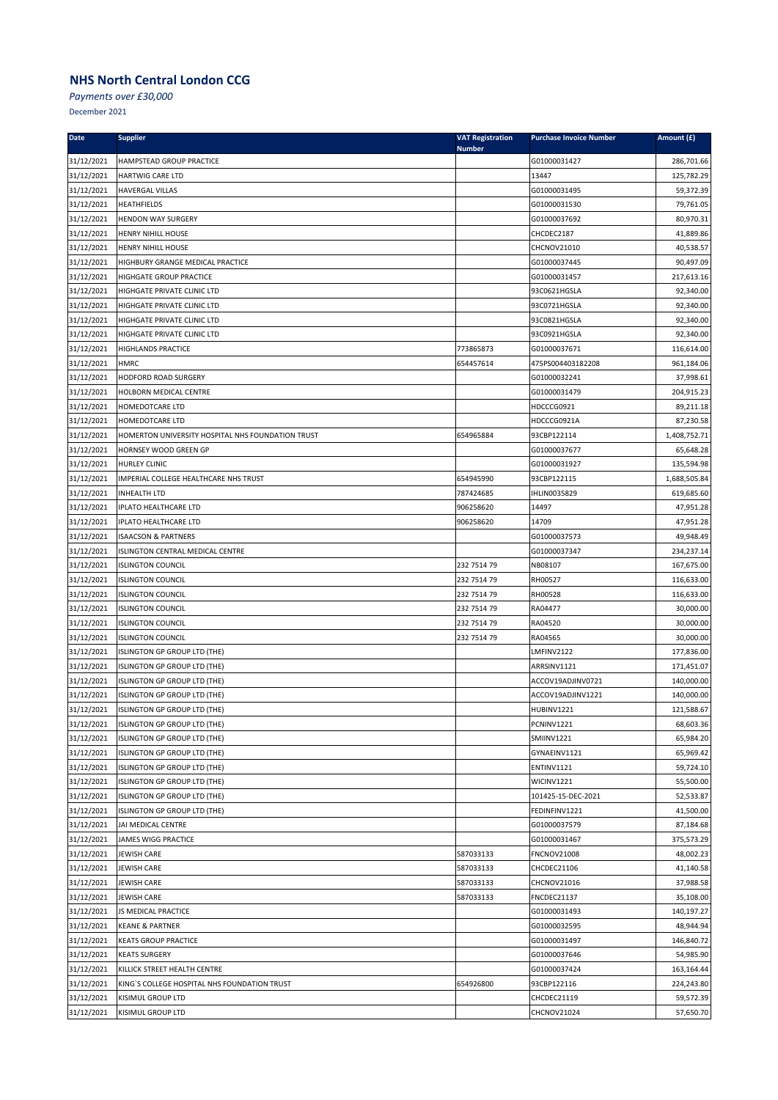*Payments over £30,000*

| Date       | <b>Supplier</b>                                   | <b>VAT Registration</b><br><b>Number</b> | <b>Purchase Invoice Number</b> | Amount (£)   |
|------------|---------------------------------------------------|------------------------------------------|--------------------------------|--------------|
| 31/12/2021 | HAMPSTEAD GROUP PRACTICE                          |                                          | G01000031427                   | 286,701.66   |
| 31/12/2021 | HARTWIG CARE LTD                                  |                                          | 13447                          | 125,782.29   |
| 31/12/2021 | HAVERGAL VILLAS                                   |                                          | G01000031495                   | 59,372.39    |
| 31/12/2021 | <b>HEATHFIELDS</b>                                |                                          | G01000031530                   | 79,761.05    |
| 31/12/2021 | <b>HENDON WAY SURGERY</b>                         |                                          | G01000037692                   | 80,970.31    |
| 31/12/2021 | HENRY NIHILL HOUSE                                |                                          | CHCDEC2187                     | 41,889.86    |
| 31/12/2021 | HENRY NIHILL HOUSE                                |                                          | CHCNOV21010                    | 40,538.57    |
| 31/12/2021 | HIGHBURY GRANGE MEDICAL PRACTICE                  |                                          | G01000037445                   | 90,497.09    |
| 31/12/2021 | HIGHGATE GROUP PRACTICE                           |                                          | G01000031457                   | 217,613.16   |
| 31/12/2021 | HIGHGATE PRIVATE CLINIC LTD                       |                                          | 93C0621HGSLA                   | 92,340.00    |
| 31/12/2021 | HIGHGATE PRIVATE CLINIC LTD                       |                                          | 93C0721HGSLA                   | 92,340.00    |
| 31/12/2021 | HIGHGATE PRIVATE CLINIC LTD                       |                                          | 93C0821HGSLA                   | 92,340.00    |
| 31/12/2021 | HIGHGATE PRIVATE CLINIC LTD                       |                                          | 93C0921HGSLA                   | 92,340.00    |
| 31/12/2021 | <b>HIGHLANDS PRACTICE</b>                         | 773865873                                | G01000037671                   | 116,614.00   |
| 31/12/2021 | <b>HMRC</b>                                       | 654457614                                | 475PS004403182208              | 961,184.06   |
| 31/12/2021 | HODFORD ROAD SURGERY                              |                                          | G01000032241                   | 37,998.61    |
| 31/12/2021 | HOLBORN MEDICAL CENTRE                            |                                          | G01000031479                   | 204,915.23   |
| 31/12/2021 | HOMEDOTCARE LTD                                   |                                          | HDCCCG0921                     | 89,211.18    |
| 31/12/2021 | HOMEDOTCARE LTD                                   |                                          | HDCCCG0921A                    | 87,230.58    |
| 31/12/2021 | HOMERTON UNIVERSITY HOSPITAL NHS FOUNDATION TRUST | 654965884                                | 93CBP122114                    | 1,408,752.71 |
| 31/12/2021 | HORNSEY WOOD GREEN GP                             |                                          | G01000037677                   | 65,648.28    |
| 31/12/2021 | <b>HURLEY CLINIC</b>                              |                                          | G01000031927                   | 135,594.98   |
| 31/12/2021 | IMPERIAL COLLEGE HEALTHCARE NHS TRUST             | 654945990                                | 93CBP122115                    | 1,688,505.84 |
| 31/12/2021 | <b>INHEALTH LTD</b>                               | 787424685                                | <b>IHLIN0035829</b>            | 619,685.60   |
| 31/12/2021 | IPLATO HEALTHCARE LTD                             | 906258620                                | 14497                          | 47,951.28    |
| 31/12/2021 | IPLATO HEALTHCARE LTD                             | 906258620                                | 14709                          | 47,951.28    |
| 31/12/2021 | <b>ISAACSON &amp; PARTNERS</b>                    |                                          | G01000037573                   | 49,948.49    |
| 31/12/2021 | ISLINGTON CENTRAL MEDICAL CENTRE                  |                                          | G01000037347                   | 234,237.14   |
| 31/12/2021 | <b>ISLINGTON COUNCIL</b>                          | 232 7514 79                              | NB08107                        | 167,675.00   |
| 31/12/2021 | <b>ISLINGTON COUNCIL</b>                          | 232 7514 79                              | RH00527                        | 116,633.00   |
| 31/12/2021 | <b>ISLINGTON COUNCIL</b>                          | 232 7514 79                              | RH00528                        | 116,633.00   |
| 31/12/2021 | <b>ISLINGTON COUNCIL</b>                          | 232 7514 79                              | RA04477                        | 30,000.00    |
| 31/12/2021 | <b>ISLINGTON COUNCIL</b>                          | 232 7514 79                              | RA04520                        | 30,000.00    |
| 31/12/2021 | <b>ISLINGTON COUNCIL</b>                          | 232 7514 79                              | RA04565                        | 30,000.00    |
| 31/12/2021 | ISLINGTON GP GROUP LTD (THE)                      |                                          | LMFINV2122                     | 177,836.00   |
| 31/12/2021 | ISLINGTON GP GROUP LTD (THE)                      |                                          | ARRSINV1121                    | 171,451.07   |
| 31/12/2021 | ISLINGTON GP GROUP LTD (THE)                      |                                          | ACCOV19ADJINV0721              | 140,000.00   |
| 31/12/2021 | ISLINGTON GP GROUP LTD (THE)                      |                                          | ACCOV19ADJINV1221              | 140,000.00   |
| 31/12/2021 | ISLINGTON GP GROUP LTD (THE)                      |                                          | HUBINV1221                     | 121,588.67   |
| 31/12/2021 | ISLINGTON GP GROUP LTD (THE)                      |                                          | PCNINV1221                     | 68,603.36    |
| 31/12/2021 | ISLINGTON GP GROUP LTD (THE)                      |                                          | <b>SMIINV1221</b>              | 65,984.20    |
| 31/12/2021 | ISLINGTON GP GROUP LTD (THE)                      |                                          | GYNAEINV1121                   | 65,969.42    |
| 31/12/2021 | ISLINGTON GP GROUP LTD (THE)                      |                                          | <b>ENTINV1121</b>              | 59,724.10    |
| 31/12/2021 | ISLINGTON GP GROUP LTD (THE)                      |                                          | WICINV1221                     | 55,500.00    |
| 31/12/2021 | ISLINGTON GP GROUP LTD (THE)                      |                                          | 101425-15-DEC-2021             | 52,533.87    |
| 31/12/2021 | ISLINGTON GP GROUP LTD (THE)                      |                                          | FEDINFINV1221                  | 41,500.00    |
| 31/12/2021 | JAI MEDICAL CENTRE                                |                                          | G01000037579                   | 87,184.68    |
| 31/12/2021 | JAMES WIGG PRACTICE                               |                                          | G01000031467                   | 375,573.29   |
| 31/12/2021 | JEWISH CARE                                       | 587033133                                | <b>FNCNOV21008</b>             | 48,002.23    |
| 31/12/2021 | JEWISH CARE                                       | 587033133                                | CHCDEC21106                    | 41,140.58    |
| 31/12/2021 | JEWISH CARE                                       | 587033133                                | CHCNOV21016                    | 37,988.58    |
| 31/12/2021 | JEWISH CARE                                       | 587033133                                | FNCDEC21137                    | 35,108.00    |
| 31/12/2021 | JS MEDICAL PRACTICE                               |                                          | G01000031493                   | 140,197.27   |
| 31/12/2021 | <b>KEANE &amp; PARTNER</b>                        |                                          | G01000032595                   | 48,944.94    |
| 31/12/2021 | <b>KEATS GROUP PRACTICE</b>                       |                                          | G01000031497                   | 146,840.72   |
| 31/12/2021 | <b>KEATS SURGERY</b>                              |                                          | G01000037646                   | 54,985.90    |
| 31/12/2021 | KILLICK STREET HEALTH CENTRE                      |                                          | G01000037424                   | 163,164.44   |
| 31/12/2021 | KING'S COLLEGE HOSPITAL NHS FOUNDATION TRUST      | 654926800                                | 93CBP122116                    | 224,243.80   |
| 31/12/2021 | KISIMUL GROUP LTD                                 |                                          | CHCDEC21119                    | 59,572.39    |
| 31/12/2021 | KISIMUL GROUP LTD                                 |                                          | CHCNOV21024                    | 57,650.70    |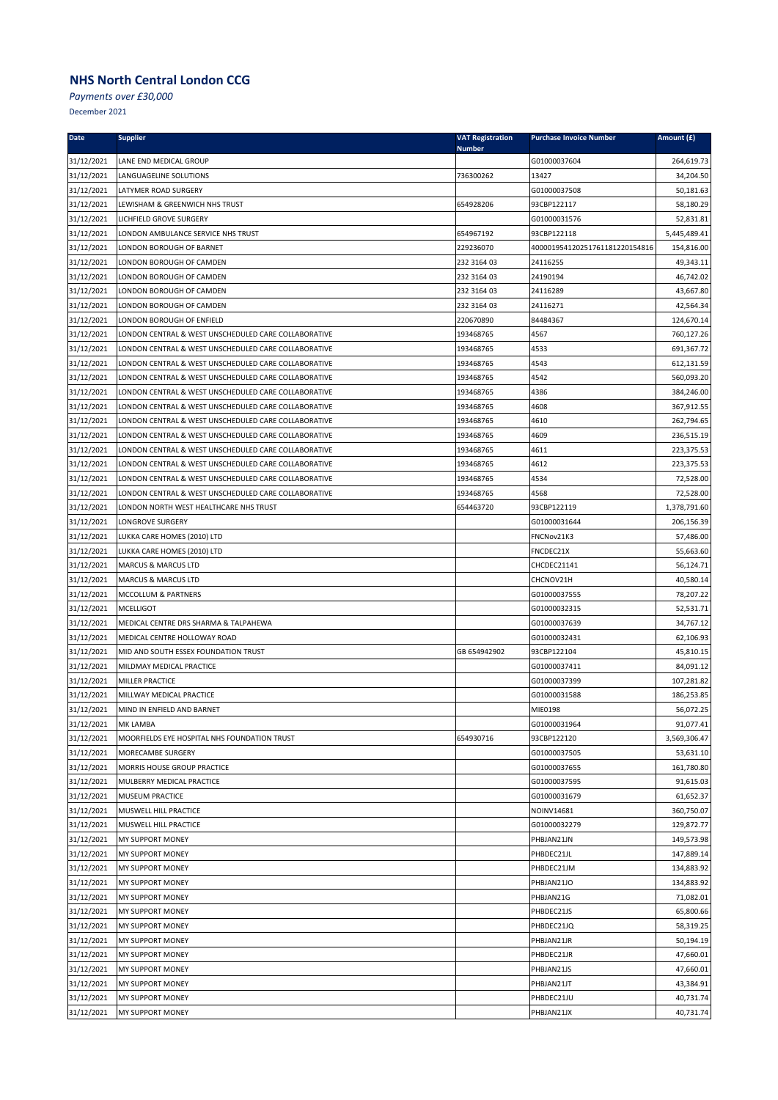*Payments over £30,000*

| <b>Date</b>              | <b>Supplier</b>                                      | <b>VAT Registration</b><br><b>Number</b> | <b>Purchase Invoice Number</b> | Amount (£)              |
|--------------------------|------------------------------------------------------|------------------------------------------|--------------------------------|-------------------------|
| 31/12/2021               | LANE END MEDICAL GROUP                               |                                          | G01000037604                   | 264,619.73              |
| 31/12/2021               | LANGUAGELINE SOLUTIONS                               | 736300262                                | 13427                          | 34,204.50               |
| 31/12/2021               | LATYMER ROAD SURGERY                                 |                                          | G01000037508                   | 50,181.63               |
| 31/12/2021               | LEWISHAM & GREENWICH NHS TRUST                       | 654928206                                | 93CBP122117                    | 58,180.29               |
| 31/12/2021               | LICHFIELD GROVE SURGERY                              |                                          | G01000031576                   | 52,831.81               |
| 31/12/2021               | LONDON AMBULANCE SERVICE NHS TRUST                   | 654967192                                | 93CBP122118                    | 5,445,489.41            |
| 31/12/2021               | LONDON BOROUGH OF BARNET                             | 229236070                                | 400001954120251761181220154816 | 154,816.00              |
| 31/12/2021               | LONDON BOROUGH OF CAMDEN                             | 232 3164 03                              | 24116255                       | 49,343.11               |
| 31/12/2021               | LONDON BOROUGH OF CAMDEN                             | 232 3164 03                              | 24190194                       | 46,742.02               |
| 31/12/2021               | LONDON BOROUGH OF CAMDEN                             | 232 3164 03                              | 24116289                       | 43,667.80               |
| 31/12/2021               | LONDON BOROUGH OF CAMDEN                             | 232 3164 03                              | 24116271                       | 42,564.34               |
| 31/12/2021               | LONDON BOROUGH OF ENFIELD                            | 220670890                                | 84484367                       | 124,670.14              |
| 31/12/2021               | LONDON CENTRAL & WEST UNSCHEDULED CARE COLLABORATIVE | 193468765                                | 4567                           | 760,127.26              |
| 31/12/2021               | LONDON CENTRAL & WEST UNSCHEDULED CARE COLLABORATIVE | 193468765                                | 4533                           | 691,367.72              |
| 31/12/2021               | LONDON CENTRAL & WEST UNSCHEDULED CARE COLLABORATIVE | 193468765                                | 4543                           | 612,131.59              |
| 31/12/2021               | LONDON CENTRAL & WEST UNSCHEDULED CARE COLLABORATIVE | 193468765                                | 4542                           | 560,093.20              |
| 31/12/2021               | LONDON CENTRAL & WEST UNSCHEDULED CARE COLLABORATIVE | 193468765                                | 4386                           | 384,246.00              |
| 31/12/2021               | LONDON CENTRAL & WEST UNSCHEDULED CARE COLLABORATIVE | 193468765                                | 4608                           | 367,912.55              |
| 31/12/2021               | LONDON CENTRAL & WEST UNSCHEDULED CARE COLLABORATIVE | 193468765                                | 4610                           | 262,794.65              |
| 31/12/2021               | LONDON CENTRAL & WEST UNSCHEDULED CARE COLLABORATIVE | 193468765                                | 4609                           | 236,515.19              |
| 31/12/2021               | LONDON CENTRAL & WEST UNSCHEDULED CARE COLLABORATIVE | 193468765                                | 4611                           | 223,375.53              |
| 31/12/2021               | LONDON CENTRAL & WEST UNSCHEDULED CARE COLLABORATIVE | 193468765                                | 4612                           | 223,375.53              |
| 31/12/2021               | LONDON CENTRAL & WEST UNSCHEDULED CARE COLLABORATIVE | 193468765                                | 4534                           | 72,528.00               |
| 31/12/2021               | LONDON CENTRAL & WEST UNSCHEDULED CARE COLLABORATIVE | 193468765                                | 4568                           | 72,528.00               |
| 31/12/2021               | LONDON NORTH WEST HEALTHCARE NHS TRUST               | 654463720                                | 93CBP122119                    | 1,378,791.60            |
| 31/12/2021               | LONGROVE SURGERY                                     |                                          | G01000031644                   | 206,156.39              |
| 31/12/2021               | LUKKA CARE HOMES (2010) LTD                          |                                          | FNCNov21K3                     | 57,486.00               |
| 31/12/2021               | LUKKA CARE HOMES (2010) LTD                          |                                          | FNCDEC21X                      | 55,663.60               |
| 31/12/2021               | <b>MARCUS &amp; MARCUS LTD</b>                       |                                          | CHCDEC21141                    | 56,124.71               |
| 31/12/2021               | <b>MARCUS &amp; MARCUS LTD</b>                       |                                          | CHCNOV21H                      | 40,580.14               |
| 31/12/2021               | MCCOLLUM & PARTNERS                                  |                                          | G01000037555                   | 78,207.22               |
| 31/12/2021               | <b>MCELLIGOT</b>                                     |                                          | G01000032315                   | 52,531.71               |
| 31/12/2021               | MEDICAL CENTRE DRS SHARMA & TALPAHEWA                |                                          | G01000037639                   | 34,767.12               |
| 31/12/2021               | MEDICAL CENTRE HOLLOWAY ROAD                         |                                          | G01000032431                   | 62,106.93               |
| 31/12/2021               | MID AND SOUTH ESSEX FOUNDATION TRUST                 | GB 654942902                             | 93CBP122104                    | 45,810.15               |
| 31/12/2021               | MILDMAY MEDICAL PRACTICE                             |                                          | G01000037411                   | 84,091.12               |
| 31/12/2021               | MILLER PRACTICE                                      |                                          | G01000037399                   | 107,281.82              |
| 31/12/2021               | MILLWAY MEDICAL PRACTICE                             |                                          | G01000031588                   | 186,253.85              |
| 31/12/2021               | MIND IN ENFIELD AND BARNET                           |                                          | MIE0198                        | 56,072.25               |
| 31/12/2021               | <b>MK LAMBA</b>                                      |                                          | G01000031964                   | 91,077.41               |
| 31/12/2021               | MOORFIELDS EYE HOSPITAL NHS FOUNDATION TRUST         | 654930716                                | 93CBP122120                    | 3,569,306.47            |
| 31/12/2021<br>31/12/2021 | MORECAMBE SURGERY<br>MORRIS HOUSE GROUP PRACTICE     |                                          | G01000037505<br>G01000037655   | 53,631.10<br>161,780.80 |
| 31/12/2021               | MULBERRY MEDICAL PRACTICE                            |                                          | G01000037595                   | 91,615.03               |
| 31/12/2021               | MUSEUM PRACTICE                                      |                                          | G01000031679                   | 61,652.37               |
| 31/12/2021               | MUSWELL HILL PRACTICE                                |                                          | NOINV14681                     | 360,750.07              |
| 31/12/2021               | MUSWELL HILL PRACTICE                                |                                          | G01000032279                   | 129,872.77              |
| 31/12/2021               | MY SUPPORT MONEY                                     |                                          | PHBJAN21JN                     | 149,573.98              |
| 31/12/2021               | MY SUPPORT MONEY                                     |                                          | PHBDEC21JL                     | 147,889.14              |
| 31/12/2021               | MY SUPPORT MONEY                                     |                                          | PHBDEC21JM                     | 134,883.92              |
| 31/12/2021               | <b>MY SUPPORT MONEY</b>                              |                                          | PHBJAN21JO                     | 134,883.92              |
| 31/12/2021               | MY SUPPORT MONEY                                     |                                          | PHBJAN21G                      | 71,082.01               |
| 31/12/2021               | MY SUPPORT MONEY                                     |                                          | PHBDEC21JS                     | 65,800.66               |
| 31/12/2021               | <b>MY SUPPORT MONEY</b>                              |                                          | PHBDEC21JQ                     | 58,319.25               |
| 31/12/2021               | MY SUPPORT MONEY                                     |                                          | PHBJAN21JR                     | 50,194.19               |
| 31/12/2021               | MY SUPPORT MONEY                                     |                                          | PHBDEC21JR                     | 47,660.01               |
| 31/12/2021               | MY SUPPORT MONEY                                     |                                          | PHBJAN21JS                     | 47,660.01               |
| 31/12/2021               | MY SUPPORT MONEY                                     |                                          | PHBJAN21JT                     | 43,384.91               |
| 31/12/2021               | MY SUPPORT MONEY                                     |                                          | PHBDEC21JU                     | 40,731.74               |
| 31/12/2021               | MY SUPPORT MONEY                                     |                                          | PHBJAN21JX                     | 40,731.74               |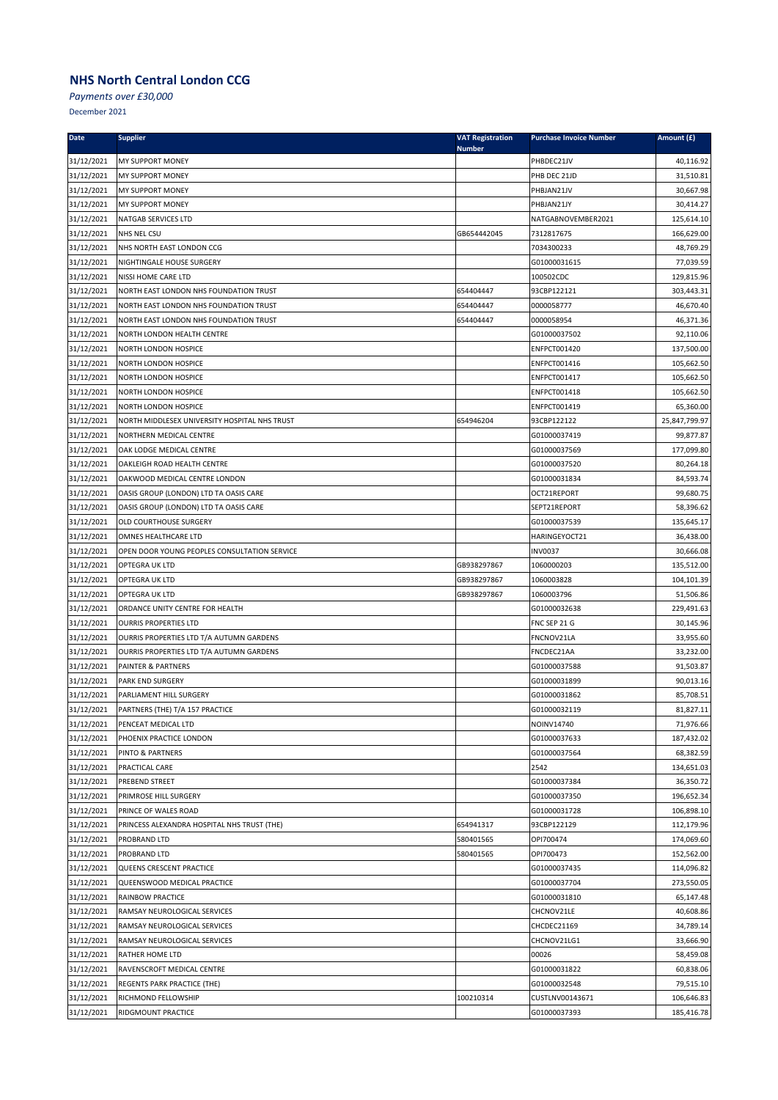*Payments over £30,000*

| 31/12/2021<br><b>MY SUPPORT MONEY</b><br>PHBDEC21JV<br>40,116.92<br>31/12/2021<br>31,510.81<br>MY SUPPORT MONEY<br>PHB DEC 21JD<br>31/12/2021<br>MY SUPPORT MONEY<br>30,667.98<br>PHBJAN21JV<br>31/12/2021<br>MY SUPPORT MONEY<br>PHBJAN21JY<br>30,414.27<br>31/12/2021<br>NATGABNOVEMBER2021<br>NATGAB SERVICES LTD<br>125,614.10<br>31/12/2021<br>GB654442045<br>166,629.00<br>NHS NEL CSU<br>7312817675<br>31/12/2021<br>NHS NORTH EAST LONDON CCG<br>7034300233<br>48,769.29<br>31/12/2021<br>77,039.59<br>NIGHTINGALE HOUSE SURGERY<br>G01000031615<br>31/12/2021<br>100502CDC<br>NISSI HOME CARE LTD<br>129,815.96<br>31/12/2021<br>NORTH EAST LONDON NHS FOUNDATION TRUST<br>654404447<br>93CBP122121<br>303,443.31<br>31/12/2021<br>654404447<br>0000058777<br>46,670.40<br>NORTH EAST LONDON NHS FOUNDATION TRUST<br>31/12/2021<br>0000058954<br>46,371.36<br>NORTH EAST LONDON NHS FOUNDATION TRUST<br>654404447<br>31/12/2021<br>NORTH LONDON HEALTH CENTRE<br>G01000037502<br>92,110.06<br>31/12/2021<br>137,500.00<br>NORTH LONDON HOSPICE<br><b>ENFPCT001420</b><br>31/12/2021<br>NORTH LONDON HOSPICE<br>ENFPCT001416<br>105,662.50<br>31/12/2021<br>NORTH LONDON HOSPICE<br>ENFPCT001417<br>105,662.50<br>31/12/2021<br>105,662.50<br>NORTH LONDON HOSPICE<br>ENFPCT001418<br>31/12/2021<br>65,360.00<br>NORTH LONDON HOSPICE<br>ENFPCT001419<br>31/12/2021<br>NORTH MIDDLESEX UNIVERSITY HOSPITAL NHS TRUST<br>654946204<br>93CBP122122<br>25,847,799.97<br>31/12/2021<br>NORTHERN MEDICAL CENTRE<br>G01000037419<br>99,877.87<br>31/12/2021<br>OAK LODGE MEDICAL CENTRE<br>G01000037569<br>177,099.80<br>31/12/2021<br>G01000037520<br>80,264.18<br>OAKLEIGH ROAD HEALTH CENTRE<br>31/12/2021<br>OAKWOOD MEDICAL CENTRE LONDON<br>84,593.74<br>G01000031834<br>31/12/2021<br>OASIS GROUP (LONDON) LTD TA OASIS CARE<br>99,680.75<br>OCT21REPORT<br>31/12/2021<br>58,396.62<br>OASIS GROUP (LONDON) LTD TA OASIS CARE<br>SEPT21REPORT<br>31/12/2021<br>OLD COURTHOUSE SURGERY<br>G01000037539<br>135,645.17<br>31/12/2021<br>OMNES HEALTHCARE LTD<br>HARINGEYOCT21<br>36,438.00<br>31/12/2021<br>OPEN DOOR YOUNG PEOPLES CONSULTATION SERVICE<br><b>INV0037</b><br>30,666.08<br>31/12/2021<br>OPTEGRA UK LTD<br>GB938297867<br>1060000203<br>135,512.00<br>31/12/2021<br>GB938297867<br>1060003828<br>104,101.39<br>OPTEGRA UK LTD<br>31/12/2021<br>GB938297867<br>51,506.86<br>OPTEGRA UK LTD<br>1060003796<br>31/12/2021<br>229,491.63<br>ORDANCE UNITY CENTRE FOR HEALTH<br>G01000032638<br>31/12/2021<br>30,145.96<br><b>OURRIS PROPERTIES LTD</b><br>FNC SEP 21 G<br>31/12/2021<br>33,955.60<br>OURRIS PROPERTIES LTD T/A AUTUMN GARDENS<br>FNCNOV21LA<br>31/12/2021<br>33,232.00<br>OURRIS PROPERTIES LTD T/A AUTUMN GARDENS<br>FNCDEC21AA<br>31/12/2021<br>G01000037588<br>91,503.87<br>PAINTER & PARTNERS<br>31/12/2021<br>G01000031899<br>90,013.16<br><b>PARK END SURGERY</b><br>31/12/2021<br>PARLIAMENT HILL SURGERY<br>G01000031862<br>85,708.51<br>31/12/2021<br>G01000032119<br>81,827.11<br>PARTNERS (THE) T/A 157 PRACTICE<br>31/12/2021<br>NOINV14740<br>71,976.66<br>PENCEAT MEDICAL LTD<br>31/12/2021<br>PHOENIX PRACTICE LONDON<br>G01000037633<br>187,432.02<br>31/12/2021<br>PINTO & PARTNERS<br>G01000037564<br>68,382.59<br>31/12/2021<br>PRACTICAL CARE<br>134,651.03<br>2542<br>31/12/2021<br>PREBEND STREET<br>G01000037384<br>36,350.72<br>31/12/2021<br>196,652.34<br>PRIMROSE HILL SURGERY<br>G01000037350<br>31/12/2021<br>PRINCE OF WALES ROAD<br>106,898.10<br>G01000031728<br>31/12/2021<br>PRINCESS ALEXANDRA HOSPITAL NHS TRUST (THE)<br>654941317<br>93CBP122129<br>112,179.96<br>31/12/2021<br>580401565<br>OPI700474<br>174,069.60<br>PROBRAND LTD<br>31/12/2021<br>PROBRAND LTD<br>580401565<br>OPI700473<br>152,562.00<br>31/12/2021<br>114,096.82<br>QUEENS CRESCENT PRACTICE<br>G01000037435<br>31/12/2021<br>QUEENSWOOD MEDICAL PRACTICE<br>G01000037704<br>273,550.05<br>31/12/2021<br>RAINBOW PRACTICE<br>G01000031810<br>65,147.48<br>31/12/2021<br>RAMSAY NEUROLOGICAL SERVICES<br>CHCNOV21LE<br>40,608.86<br>31/12/2021<br>34,789.14<br>RAMSAY NEUROLOGICAL SERVICES<br>CHCDEC21169<br>31/12/2021<br>RAMSAY NEUROLOGICAL SERVICES<br>CHCNOV21LG1<br>33,666.90<br>31/12/2021<br>RATHER HOME LTD<br>00026<br>58,459.08<br>31/12/2021<br>RAVENSCROFT MEDICAL CENTRE<br>60,838.06<br>G01000031822<br>31/12/2021<br>G01000032548<br>79,515.10<br>REGENTS PARK PRACTICE (THE)<br>31/12/2021<br>RICHMOND FELLOWSHIP<br>100210314<br>CUSTLNV00143671<br>106,646.83<br>31/12/2021<br>RIDGMOUNT PRACTICE<br>G01000037393<br>185,416.78 | Date | <b>Supplier</b> | <b>VAT Registration</b><br><b>Number</b> | <b>Purchase Invoice Number</b> | Amount (£) |
|-------------------------------------------------------------------------------------------------------------------------------------------------------------------------------------------------------------------------------------------------------------------------------------------------------------------------------------------------------------------------------------------------------------------------------------------------------------------------------------------------------------------------------------------------------------------------------------------------------------------------------------------------------------------------------------------------------------------------------------------------------------------------------------------------------------------------------------------------------------------------------------------------------------------------------------------------------------------------------------------------------------------------------------------------------------------------------------------------------------------------------------------------------------------------------------------------------------------------------------------------------------------------------------------------------------------------------------------------------------------------------------------------------------------------------------------------------------------------------------------------------------------------------------------------------------------------------------------------------------------------------------------------------------------------------------------------------------------------------------------------------------------------------------------------------------------------------------------------------------------------------------------------------------------------------------------------------------------------------------------------------------------------------------------------------------------------------------------------------------------------------------------------------------------------------------------------------------------------------------------------------------------------------------------------------------------------------------------------------------------------------------------------------------------------------------------------------------------------------------------------------------------------------------------------------------------------------------------------------------------------------------------------------------------------------------------------------------------------------------------------------------------------------------------------------------------------------------------------------------------------------------------------------------------------------------------------------------------------------------------------------------------------------------------------------------------------------------------------------------------------------------------------------------------------------------------------------------------------------------------------------------------------------------------------------------------------------------------------------------------------------------------------------------------------------------------------------------------------------------------------------------------------------------------------------------------------------------------------------------------------------------------------------------------------------------------------------------------------------------------------------------------------------------------------------------------------------------------------------------------------------------------------------------------------------------------------------------------------------------------------------------------------------------------------------------------------------------------------------------------------------------------------------------------------------------------------------------------------------------------------------------------------------------------------------------------------------------------------------------------------------------------------------------------------------------------------------------------------------------------------------------------------------------------------------------------------------------------------|------|-----------------|------------------------------------------|--------------------------------|------------|
|                                                                                                                                                                                                                                                                                                                                                                                                                                                                                                                                                                                                                                                                                                                                                                                                                                                                                                                                                                                                                                                                                                                                                                                                                                                                                                                                                                                                                                                                                                                                                                                                                                                                                                                                                                                                                                                                                                                                                                                                                                                                                                                                                                                                                                                                                                                                                                                                                                                                                                                                                                                                                                                                                                                                                                                                                                                                                                                                                                                                                                                                                                                                                                                                                                                                                                                                                                                                                                                                                                                                                                                                                                                                                                                                                                                                                                                                                                                                                                                                                                                                                                                                                                                                                                                                                                                                                                                                                                                                                                                                                                                                 |      |                 |                                          |                                |            |
|                                                                                                                                                                                                                                                                                                                                                                                                                                                                                                                                                                                                                                                                                                                                                                                                                                                                                                                                                                                                                                                                                                                                                                                                                                                                                                                                                                                                                                                                                                                                                                                                                                                                                                                                                                                                                                                                                                                                                                                                                                                                                                                                                                                                                                                                                                                                                                                                                                                                                                                                                                                                                                                                                                                                                                                                                                                                                                                                                                                                                                                                                                                                                                                                                                                                                                                                                                                                                                                                                                                                                                                                                                                                                                                                                                                                                                                                                                                                                                                                                                                                                                                                                                                                                                                                                                                                                                                                                                                                                                                                                                                                 |      |                 |                                          |                                |            |
|                                                                                                                                                                                                                                                                                                                                                                                                                                                                                                                                                                                                                                                                                                                                                                                                                                                                                                                                                                                                                                                                                                                                                                                                                                                                                                                                                                                                                                                                                                                                                                                                                                                                                                                                                                                                                                                                                                                                                                                                                                                                                                                                                                                                                                                                                                                                                                                                                                                                                                                                                                                                                                                                                                                                                                                                                                                                                                                                                                                                                                                                                                                                                                                                                                                                                                                                                                                                                                                                                                                                                                                                                                                                                                                                                                                                                                                                                                                                                                                                                                                                                                                                                                                                                                                                                                                                                                                                                                                                                                                                                                                                 |      |                 |                                          |                                |            |
|                                                                                                                                                                                                                                                                                                                                                                                                                                                                                                                                                                                                                                                                                                                                                                                                                                                                                                                                                                                                                                                                                                                                                                                                                                                                                                                                                                                                                                                                                                                                                                                                                                                                                                                                                                                                                                                                                                                                                                                                                                                                                                                                                                                                                                                                                                                                                                                                                                                                                                                                                                                                                                                                                                                                                                                                                                                                                                                                                                                                                                                                                                                                                                                                                                                                                                                                                                                                                                                                                                                                                                                                                                                                                                                                                                                                                                                                                                                                                                                                                                                                                                                                                                                                                                                                                                                                                                                                                                                                                                                                                                                                 |      |                 |                                          |                                |            |
|                                                                                                                                                                                                                                                                                                                                                                                                                                                                                                                                                                                                                                                                                                                                                                                                                                                                                                                                                                                                                                                                                                                                                                                                                                                                                                                                                                                                                                                                                                                                                                                                                                                                                                                                                                                                                                                                                                                                                                                                                                                                                                                                                                                                                                                                                                                                                                                                                                                                                                                                                                                                                                                                                                                                                                                                                                                                                                                                                                                                                                                                                                                                                                                                                                                                                                                                                                                                                                                                                                                                                                                                                                                                                                                                                                                                                                                                                                                                                                                                                                                                                                                                                                                                                                                                                                                                                                                                                                                                                                                                                                                                 |      |                 |                                          |                                |            |
|                                                                                                                                                                                                                                                                                                                                                                                                                                                                                                                                                                                                                                                                                                                                                                                                                                                                                                                                                                                                                                                                                                                                                                                                                                                                                                                                                                                                                                                                                                                                                                                                                                                                                                                                                                                                                                                                                                                                                                                                                                                                                                                                                                                                                                                                                                                                                                                                                                                                                                                                                                                                                                                                                                                                                                                                                                                                                                                                                                                                                                                                                                                                                                                                                                                                                                                                                                                                                                                                                                                                                                                                                                                                                                                                                                                                                                                                                                                                                                                                                                                                                                                                                                                                                                                                                                                                                                                                                                                                                                                                                                                                 |      |                 |                                          |                                |            |
|                                                                                                                                                                                                                                                                                                                                                                                                                                                                                                                                                                                                                                                                                                                                                                                                                                                                                                                                                                                                                                                                                                                                                                                                                                                                                                                                                                                                                                                                                                                                                                                                                                                                                                                                                                                                                                                                                                                                                                                                                                                                                                                                                                                                                                                                                                                                                                                                                                                                                                                                                                                                                                                                                                                                                                                                                                                                                                                                                                                                                                                                                                                                                                                                                                                                                                                                                                                                                                                                                                                                                                                                                                                                                                                                                                                                                                                                                                                                                                                                                                                                                                                                                                                                                                                                                                                                                                                                                                                                                                                                                                                                 |      |                 |                                          |                                |            |
|                                                                                                                                                                                                                                                                                                                                                                                                                                                                                                                                                                                                                                                                                                                                                                                                                                                                                                                                                                                                                                                                                                                                                                                                                                                                                                                                                                                                                                                                                                                                                                                                                                                                                                                                                                                                                                                                                                                                                                                                                                                                                                                                                                                                                                                                                                                                                                                                                                                                                                                                                                                                                                                                                                                                                                                                                                                                                                                                                                                                                                                                                                                                                                                                                                                                                                                                                                                                                                                                                                                                                                                                                                                                                                                                                                                                                                                                                                                                                                                                                                                                                                                                                                                                                                                                                                                                                                                                                                                                                                                                                                                                 |      |                 |                                          |                                |            |
|                                                                                                                                                                                                                                                                                                                                                                                                                                                                                                                                                                                                                                                                                                                                                                                                                                                                                                                                                                                                                                                                                                                                                                                                                                                                                                                                                                                                                                                                                                                                                                                                                                                                                                                                                                                                                                                                                                                                                                                                                                                                                                                                                                                                                                                                                                                                                                                                                                                                                                                                                                                                                                                                                                                                                                                                                                                                                                                                                                                                                                                                                                                                                                                                                                                                                                                                                                                                                                                                                                                                                                                                                                                                                                                                                                                                                                                                                                                                                                                                                                                                                                                                                                                                                                                                                                                                                                                                                                                                                                                                                                                                 |      |                 |                                          |                                |            |
|                                                                                                                                                                                                                                                                                                                                                                                                                                                                                                                                                                                                                                                                                                                                                                                                                                                                                                                                                                                                                                                                                                                                                                                                                                                                                                                                                                                                                                                                                                                                                                                                                                                                                                                                                                                                                                                                                                                                                                                                                                                                                                                                                                                                                                                                                                                                                                                                                                                                                                                                                                                                                                                                                                                                                                                                                                                                                                                                                                                                                                                                                                                                                                                                                                                                                                                                                                                                                                                                                                                                                                                                                                                                                                                                                                                                                                                                                                                                                                                                                                                                                                                                                                                                                                                                                                                                                                                                                                                                                                                                                                                                 |      |                 |                                          |                                |            |
|                                                                                                                                                                                                                                                                                                                                                                                                                                                                                                                                                                                                                                                                                                                                                                                                                                                                                                                                                                                                                                                                                                                                                                                                                                                                                                                                                                                                                                                                                                                                                                                                                                                                                                                                                                                                                                                                                                                                                                                                                                                                                                                                                                                                                                                                                                                                                                                                                                                                                                                                                                                                                                                                                                                                                                                                                                                                                                                                                                                                                                                                                                                                                                                                                                                                                                                                                                                                                                                                                                                                                                                                                                                                                                                                                                                                                                                                                                                                                                                                                                                                                                                                                                                                                                                                                                                                                                                                                                                                                                                                                                                                 |      |                 |                                          |                                |            |
|                                                                                                                                                                                                                                                                                                                                                                                                                                                                                                                                                                                                                                                                                                                                                                                                                                                                                                                                                                                                                                                                                                                                                                                                                                                                                                                                                                                                                                                                                                                                                                                                                                                                                                                                                                                                                                                                                                                                                                                                                                                                                                                                                                                                                                                                                                                                                                                                                                                                                                                                                                                                                                                                                                                                                                                                                                                                                                                                                                                                                                                                                                                                                                                                                                                                                                                                                                                                                                                                                                                                                                                                                                                                                                                                                                                                                                                                                                                                                                                                                                                                                                                                                                                                                                                                                                                                                                                                                                                                                                                                                                                                 |      |                 |                                          |                                |            |
|                                                                                                                                                                                                                                                                                                                                                                                                                                                                                                                                                                                                                                                                                                                                                                                                                                                                                                                                                                                                                                                                                                                                                                                                                                                                                                                                                                                                                                                                                                                                                                                                                                                                                                                                                                                                                                                                                                                                                                                                                                                                                                                                                                                                                                                                                                                                                                                                                                                                                                                                                                                                                                                                                                                                                                                                                                                                                                                                                                                                                                                                                                                                                                                                                                                                                                                                                                                                                                                                                                                                                                                                                                                                                                                                                                                                                                                                                                                                                                                                                                                                                                                                                                                                                                                                                                                                                                                                                                                                                                                                                                                                 |      |                 |                                          |                                |            |
|                                                                                                                                                                                                                                                                                                                                                                                                                                                                                                                                                                                                                                                                                                                                                                                                                                                                                                                                                                                                                                                                                                                                                                                                                                                                                                                                                                                                                                                                                                                                                                                                                                                                                                                                                                                                                                                                                                                                                                                                                                                                                                                                                                                                                                                                                                                                                                                                                                                                                                                                                                                                                                                                                                                                                                                                                                                                                                                                                                                                                                                                                                                                                                                                                                                                                                                                                                                                                                                                                                                                                                                                                                                                                                                                                                                                                                                                                                                                                                                                                                                                                                                                                                                                                                                                                                                                                                                                                                                                                                                                                                                                 |      |                 |                                          |                                |            |
|                                                                                                                                                                                                                                                                                                                                                                                                                                                                                                                                                                                                                                                                                                                                                                                                                                                                                                                                                                                                                                                                                                                                                                                                                                                                                                                                                                                                                                                                                                                                                                                                                                                                                                                                                                                                                                                                                                                                                                                                                                                                                                                                                                                                                                                                                                                                                                                                                                                                                                                                                                                                                                                                                                                                                                                                                                                                                                                                                                                                                                                                                                                                                                                                                                                                                                                                                                                                                                                                                                                                                                                                                                                                                                                                                                                                                                                                                                                                                                                                                                                                                                                                                                                                                                                                                                                                                                                                                                                                                                                                                                                                 |      |                 |                                          |                                |            |
|                                                                                                                                                                                                                                                                                                                                                                                                                                                                                                                                                                                                                                                                                                                                                                                                                                                                                                                                                                                                                                                                                                                                                                                                                                                                                                                                                                                                                                                                                                                                                                                                                                                                                                                                                                                                                                                                                                                                                                                                                                                                                                                                                                                                                                                                                                                                                                                                                                                                                                                                                                                                                                                                                                                                                                                                                                                                                                                                                                                                                                                                                                                                                                                                                                                                                                                                                                                                                                                                                                                                                                                                                                                                                                                                                                                                                                                                                                                                                                                                                                                                                                                                                                                                                                                                                                                                                                                                                                                                                                                                                                                                 |      |                 |                                          |                                |            |
|                                                                                                                                                                                                                                                                                                                                                                                                                                                                                                                                                                                                                                                                                                                                                                                                                                                                                                                                                                                                                                                                                                                                                                                                                                                                                                                                                                                                                                                                                                                                                                                                                                                                                                                                                                                                                                                                                                                                                                                                                                                                                                                                                                                                                                                                                                                                                                                                                                                                                                                                                                                                                                                                                                                                                                                                                                                                                                                                                                                                                                                                                                                                                                                                                                                                                                                                                                                                                                                                                                                                                                                                                                                                                                                                                                                                                                                                                                                                                                                                                                                                                                                                                                                                                                                                                                                                                                                                                                                                                                                                                                                                 |      |                 |                                          |                                |            |
|                                                                                                                                                                                                                                                                                                                                                                                                                                                                                                                                                                                                                                                                                                                                                                                                                                                                                                                                                                                                                                                                                                                                                                                                                                                                                                                                                                                                                                                                                                                                                                                                                                                                                                                                                                                                                                                                                                                                                                                                                                                                                                                                                                                                                                                                                                                                                                                                                                                                                                                                                                                                                                                                                                                                                                                                                                                                                                                                                                                                                                                                                                                                                                                                                                                                                                                                                                                                                                                                                                                                                                                                                                                                                                                                                                                                                                                                                                                                                                                                                                                                                                                                                                                                                                                                                                                                                                                                                                                                                                                                                                                                 |      |                 |                                          |                                |            |
|                                                                                                                                                                                                                                                                                                                                                                                                                                                                                                                                                                                                                                                                                                                                                                                                                                                                                                                                                                                                                                                                                                                                                                                                                                                                                                                                                                                                                                                                                                                                                                                                                                                                                                                                                                                                                                                                                                                                                                                                                                                                                                                                                                                                                                                                                                                                                                                                                                                                                                                                                                                                                                                                                                                                                                                                                                                                                                                                                                                                                                                                                                                                                                                                                                                                                                                                                                                                                                                                                                                                                                                                                                                                                                                                                                                                                                                                                                                                                                                                                                                                                                                                                                                                                                                                                                                                                                                                                                                                                                                                                                                                 |      |                 |                                          |                                |            |
|                                                                                                                                                                                                                                                                                                                                                                                                                                                                                                                                                                                                                                                                                                                                                                                                                                                                                                                                                                                                                                                                                                                                                                                                                                                                                                                                                                                                                                                                                                                                                                                                                                                                                                                                                                                                                                                                                                                                                                                                                                                                                                                                                                                                                                                                                                                                                                                                                                                                                                                                                                                                                                                                                                                                                                                                                                                                                                                                                                                                                                                                                                                                                                                                                                                                                                                                                                                                                                                                                                                                                                                                                                                                                                                                                                                                                                                                                                                                                                                                                                                                                                                                                                                                                                                                                                                                                                                                                                                                                                                                                                                                 |      |                 |                                          |                                |            |
|                                                                                                                                                                                                                                                                                                                                                                                                                                                                                                                                                                                                                                                                                                                                                                                                                                                                                                                                                                                                                                                                                                                                                                                                                                                                                                                                                                                                                                                                                                                                                                                                                                                                                                                                                                                                                                                                                                                                                                                                                                                                                                                                                                                                                                                                                                                                                                                                                                                                                                                                                                                                                                                                                                                                                                                                                                                                                                                                                                                                                                                                                                                                                                                                                                                                                                                                                                                                                                                                                                                                                                                                                                                                                                                                                                                                                                                                                                                                                                                                                                                                                                                                                                                                                                                                                                                                                                                                                                                                                                                                                                                                 |      |                 |                                          |                                |            |
|                                                                                                                                                                                                                                                                                                                                                                                                                                                                                                                                                                                                                                                                                                                                                                                                                                                                                                                                                                                                                                                                                                                                                                                                                                                                                                                                                                                                                                                                                                                                                                                                                                                                                                                                                                                                                                                                                                                                                                                                                                                                                                                                                                                                                                                                                                                                                                                                                                                                                                                                                                                                                                                                                                                                                                                                                                                                                                                                                                                                                                                                                                                                                                                                                                                                                                                                                                                                                                                                                                                                                                                                                                                                                                                                                                                                                                                                                                                                                                                                                                                                                                                                                                                                                                                                                                                                                                                                                                                                                                                                                                                                 |      |                 |                                          |                                |            |
|                                                                                                                                                                                                                                                                                                                                                                                                                                                                                                                                                                                                                                                                                                                                                                                                                                                                                                                                                                                                                                                                                                                                                                                                                                                                                                                                                                                                                                                                                                                                                                                                                                                                                                                                                                                                                                                                                                                                                                                                                                                                                                                                                                                                                                                                                                                                                                                                                                                                                                                                                                                                                                                                                                                                                                                                                                                                                                                                                                                                                                                                                                                                                                                                                                                                                                                                                                                                                                                                                                                                                                                                                                                                                                                                                                                                                                                                                                                                                                                                                                                                                                                                                                                                                                                                                                                                                                                                                                                                                                                                                                                                 |      |                 |                                          |                                |            |
|                                                                                                                                                                                                                                                                                                                                                                                                                                                                                                                                                                                                                                                                                                                                                                                                                                                                                                                                                                                                                                                                                                                                                                                                                                                                                                                                                                                                                                                                                                                                                                                                                                                                                                                                                                                                                                                                                                                                                                                                                                                                                                                                                                                                                                                                                                                                                                                                                                                                                                                                                                                                                                                                                                                                                                                                                                                                                                                                                                                                                                                                                                                                                                                                                                                                                                                                                                                                                                                                                                                                                                                                                                                                                                                                                                                                                                                                                                                                                                                                                                                                                                                                                                                                                                                                                                                                                                                                                                                                                                                                                                                                 |      |                 |                                          |                                |            |
|                                                                                                                                                                                                                                                                                                                                                                                                                                                                                                                                                                                                                                                                                                                                                                                                                                                                                                                                                                                                                                                                                                                                                                                                                                                                                                                                                                                                                                                                                                                                                                                                                                                                                                                                                                                                                                                                                                                                                                                                                                                                                                                                                                                                                                                                                                                                                                                                                                                                                                                                                                                                                                                                                                                                                                                                                                                                                                                                                                                                                                                                                                                                                                                                                                                                                                                                                                                                                                                                                                                                                                                                                                                                                                                                                                                                                                                                                                                                                                                                                                                                                                                                                                                                                                                                                                                                                                                                                                                                                                                                                                                                 |      |                 |                                          |                                |            |
|                                                                                                                                                                                                                                                                                                                                                                                                                                                                                                                                                                                                                                                                                                                                                                                                                                                                                                                                                                                                                                                                                                                                                                                                                                                                                                                                                                                                                                                                                                                                                                                                                                                                                                                                                                                                                                                                                                                                                                                                                                                                                                                                                                                                                                                                                                                                                                                                                                                                                                                                                                                                                                                                                                                                                                                                                                                                                                                                                                                                                                                                                                                                                                                                                                                                                                                                                                                                                                                                                                                                                                                                                                                                                                                                                                                                                                                                                                                                                                                                                                                                                                                                                                                                                                                                                                                                                                                                                                                                                                                                                                                                 |      |                 |                                          |                                |            |
|                                                                                                                                                                                                                                                                                                                                                                                                                                                                                                                                                                                                                                                                                                                                                                                                                                                                                                                                                                                                                                                                                                                                                                                                                                                                                                                                                                                                                                                                                                                                                                                                                                                                                                                                                                                                                                                                                                                                                                                                                                                                                                                                                                                                                                                                                                                                                                                                                                                                                                                                                                                                                                                                                                                                                                                                                                                                                                                                                                                                                                                                                                                                                                                                                                                                                                                                                                                                                                                                                                                                                                                                                                                                                                                                                                                                                                                                                                                                                                                                                                                                                                                                                                                                                                                                                                                                                                                                                                                                                                                                                                                                 |      |                 |                                          |                                |            |
|                                                                                                                                                                                                                                                                                                                                                                                                                                                                                                                                                                                                                                                                                                                                                                                                                                                                                                                                                                                                                                                                                                                                                                                                                                                                                                                                                                                                                                                                                                                                                                                                                                                                                                                                                                                                                                                                                                                                                                                                                                                                                                                                                                                                                                                                                                                                                                                                                                                                                                                                                                                                                                                                                                                                                                                                                                                                                                                                                                                                                                                                                                                                                                                                                                                                                                                                                                                                                                                                                                                                                                                                                                                                                                                                                                                                                                                                                                                                                                                                                                                                                                                                                                                                                                                                                                                                                                                                                                                                                                                                                                                                 |      |                 |                                          |                                |            |
|                                                                                                                                                                                                                                                                                                                                                                                                                                                                                                                                                                                                                                                                                                                                                                                                                                                                                                                                                                                                                                                                                                                                                                                                                                                                                                                                                                                                                                                                                                                                                                                                                                                                                                                                                                                                                                                                                                                                                                                                                                                                                                                                                                                                                                                                                                                                                                                                                                                                                                                                                                                                                                                                                                                                                                                                                                                                                                                                                                                                                                                                                                                                                                                                                                                                                                                                                                                                                                                                                                                                                                                                                                                                                                                                                                                                                                                                                                                                                                                                                                                                                                                                                                                                                                                                                                                                                                                                                                                                                                                                                                                                 |      |                 |                                          |                                |            |
|                                                                                                                                                                                                                                                                                                                                                                                                                                                                                                                                                                                                                                                                                                                                                                                                                                                                                                                                                                                                                                                                                                                                                                                                                                                                                                                                                                                                                                                                                                                                                                                                                                                                                                                                                                                                                                                                                                                                                                                                                                                                                                                                                                                                                                                                                                                                                                                                                                                                                                                                                                                                                                                                                                                                                                                                                                                                                                                                                                                                                                                                                                                                                                                                                                                                                                                                                                                                                                                                                                                                                                                                                                                                                                                                                                                                                                                                                                                                                                                                                                                                                                                                                                                                                                                                                                                                                                                                                                                                                                                                                                                                 |      |                 |                                          |                                |            |
|                                                                                                                                                                                                                                                                                                                                                                                                                                                                                                                                                                                                                                                                                                                                                                                                                                                                                                                                                                                                                                                                                                                                                                                                                                                                                                                                                                                                                                                                                                                                                                                                                                                                                                                                                                                                                                                                                                                                                                                                                                                                                                                                                                                                                                                                                                                                                                                                                                                                                                                                                                                                                                                                                                                                                                                                                                                                                                                                                                                                                                                                                                                                                                                                                                                                                                                                                                                                                                                                                                                                                                                                                                                                                                                                                                                                                                                                                                                                                                                                                                                                                                                                                                                                                                                                                                                                                                                                                                                                                                                                                                                                 |      |                 |                                          |                                |            |
|                                                                                                                                                                                                                                                                                                                                                                                                                                                                                                                                                                                                                                                                                                                                                                                                                                                                                                                                                                                                                                                                                                                                                                                                                                                                                                                                                                                                                                                                                                                                                                                                                                                                                                                                                                                                                                                                                                                                                                                                                                                                                                                                                                                                                                                                                                                                                                                                                                                                                                                                                                                                                                                                                                                                                                                                                                                                                                                                                                                                                                                                                                                                                                                                                                                                                                                                                                                                                                                                                                                                                                                                                                                                                                                                                                                                                                                                                                                                                                                                                                                                                                                                                                                                                                                                                                                                                                                                                                                                                                                                                                                                 |      |                 |                                          |                                |            |
|                                                                                                                                                                                                                                                                                                                                                                                                                                                                                                                                                                                                                                                                                                                                                                                                                                                                                                                                                                                                                                                                                                                                                                                                                                                                                                                                                                                                                                                                                                                                                                                                                                                                                                                                                                                                                                                                                                                                                                                                                                                                                                                                                                                                                                                                                                                                                                                                                                                                                                                                                                                                                                                                                                                                                                                                                                                                                                                                                                                                                                                                                                                                                                                                                                                                                                                                                                                                                                                                                                                                                                                                                                                                                                                                                                                                                                                                                                                                                                                                                                                                                                                                                                                                                                                                                                                                                                                                                                                                                                                                                                                                 |      |                 |                                          |                                |            |
|                                                                                                                                                                                                                                                                                                                                                                                                                                                                                                                                                                                                                                                                                                                                                                                                                                                                                                                                                                                                                                                                                                                                                                                                                                                                                                                                                                                                                                                                                                                                                                                                                                                                                                                                                                                                                                                                                                                                                                                                                                                                                                                                                                                                                                                                                                                                                                                                                                                                                                                                                                                                                                                                                                                                                                                                                                                                                                                                                                                                                                                                                                                                                                                                                                                                                                                                                                                                                                                                                                                                                                                                                                                                                                                                                                                                                                                                                                                                                                                                                                                                                                                                                                                                                                                                                                                                                                                                                                                                                                                                                                                                 |      |                 |                                          |                                |            |
|                                                                                                                                                                                                                                                                                                                                                                                                                                                                                                                                                                                                                                                                                                                                                                                                                                                                                                                                                                                                                                                                                                                                                                                                                                                                                                                                                                                                                                                                                                                                                                                                                                                                                                                                                                                                                                                                                                                                                                                                                                                                                                                                                                                                                                                                                                                                                                                                                                                                                                                                                                                                                                                                                                                                                                                                                                                                                                                                                                                                                                                                                                                                                                                                                                                                                                                                                                                                                                                                                                                                                                                                                                                                                                                                                                                                                                                                                                                                                                                                                                                                                                                                                                                                                                                                                                                                                                                                                                                                                                                                                                                                 |      |                 |                                          |                                |            |
|                                                                                                                                                                                                                                                                                                                                                                                                                                                                                                                                                                                                                                                                                                                                                                                                                                                                                                                                                                                                                                                                                                                                                                                                                                                                                                                                                                                                                                                                                                                                                                                                                                                                                                                                                                                                                                                                                                                                                                                                                                                                                                                                                                                                                                                                                                                                                                                                                                                                                                                                                                                                                                                                                                                                                                                                                                                                                                                                                                                                                                                                                                                                                                                                                                                                                                                                                                                                                                                                                                                                                                                                                                                                                                                                                                                                                                                                                                                                                                                                                                                                                                                                                                                                                                                                                                                                                                                                                                                                                                                                                                                                 |      |                 |                                          |                                |            |
|                                                                                                                                                                                                                                                                                                                                                                                                                                                                                                                                                                                                                                                                                                                                                                                                                                                                                                                                                                                                                                                                                                                                                                                                                                                                                                                                                                                                                                                                                                                                                                                                                                                                                                                                                                                                                                                                                                                                                                                                                                                                                                                                                                                                                                                                                                                                                                                                                                                                                                                                                                                                                                                                                                                                                                                                                                                                                                                                                                                                                                                                                                                                                                                                                                                                                                                                                                                                                                                                                                                                                                                                                                                                                                                                                                                                                                                                                                                                                                                                                                                                                                                                                                                                                                                                                                                                                                                                                                                                                                                                                                                                 |      |                 |                                          |                                |            |
|                                                                                                                                                                                                                                                                                                                                                                                                                                                                                                                                                                                                                                                                                                                                                                                                                                                                                                                                                                                                                                                                                                                                                                                                                                                                                                                                                                                                                                                                                                                                                                                                                                                                                                                                                                                                                                                                                                                                                                                                                                                                                                                                                                                                                                                                                                                                                                                                                                                                                                                                                                                                                                                                                                                                                                                                                                                                                                                                                                                                                                                                                                                                                                                                                                                                                                                                                                                                                                                                                                                                                                                                                                                                                                                                                                                                                                                                                                                                                                                                                                                                                                                                                                                                                                                                                                                                                                                                                                                                                                                                                                                                 |      |                 |                                          |                                |            |
|                                                                                                                                                                                                                                                                                                                                                                                                                                                                                                                                                                                                                                                                                                                                                                                                                                                                                                                                                                                                                                                                                                                                                                                                                                                                                                                                                                                                                                                                                                                                                                                                                                                                                                                                                                                                                                                                                                                                                                                                                                                                                                                                                                                                                                                                                                                                                                                                                                                                                                                                                                                                                                                                                                                                                                                                                                                                                                                                                                                                                                                                                                                                                                                                                                                                                                                                                                                                                                                                                                                                                                                                                                                                                                                                                                                                                                                                                                                                                                                                                                                                                                                                                                                                                                                                                                                                                                                                                                                                                                                                                                                                 |      |                 |                                          |                                |            |
|                                                                                                                                                                                                                                                                                                                                                                                                                                                                                                                                                                                                                                                                                                                                                                                                                                                                                                                                                                                                                                                                                                                                                                                                                                                                                                                                                                                                                                                                                                                                                                                                                                                                                                                                                                                                                                                                                                                                                                                                                                                                                                                                                                                                                                                                                                                                                                                                                                                                                                                                                                                                                                                                                                                                                                                                                                                                                                                                                                                                                                                                                                                                                                                                                                                                                                                                                                                                                                                                                                                                                                                                                                                                                                                                                                                                                                                                                                                                                                                                                                                                                                                                                                                                                                                                                                                                                                                                                                                                                                                                                                                                 |      |                 |                                          |                                |            |
|                                                                                                                                                                                                                                                                                                                                                                                                                                                                                                                                                                                                                                                                                                                                                                                                                                                                                                                                                                                                                                                                                                                                                                                                                                                                                                                                                                                                                                                                                                                                                                                                                                                                                                                                                                                                                                                                                                                                                                                                                                                                                                                                                                                                                                                                                                                                                                                                                                                                                                                                                                                                                                                                                                                                                                                                                                                                                                                                                                                                                                                                                                                                                                                                                                                                                                                                                                                                                                                                                                                                                                                                                                                                                                                                                                                                                                                                                                                                                                                                                                                                                                                                                                                                                                                                                                                                                                                                                                                                                                                                                                                                 |      |                 |                                          |                                |            |
|                                                                                                                                                                                                                                                                                                                                                                                                                                                                                                                                                                                                                                                                                                                                                                                                                                                                                                                                                                                                                                                                                                                                                                                                                                                                                                                                                                                                                                                                                                                                                                                                                                                                                                                                                                                                                                                                                                                                                                                                                                                                                                                                                                                                                                                                                                                                                                                                                                                                                                                                                                                                                                                                                                                                                                                                                                                                                                                                                                                                                                                                                                                                                                                                                                                                                                                                                                                                                                                                                                                                                                                                                                                                                                                                                                                                                                                                                                                                                                                                                                                                                                                                                                                                                                                                                                                                                                                                                                                                                                                                                                                                 |      |                 |                                          |                                |            |
|                                                                                                                                                                                                                                                                                                                                                                                                                                                                                                                                                                                                                                                                                                                                                                                                                                                                                                                                                                                                                                                                                                                                                                                                                                                                                                                                                                                                                                                                                                                                                                                                                                                                                                                                                                                                                                                                                                                                                                                                                                                                                                                                                                                                                                                                                                                                                                                                                                                                                                                                                                                                                                                                                                                                                                                                                                                                                                                                                                                                                                                                                                                                                                                                                                                                                                                                                                                                                                                                                                                                                                                                                                                                                                                                                                                                                                                                                                                                                                                                                                                                                                                                                                                                                                                                                                                                                                                                                                                                                                                                                                                                 |      |                 |                                          |                                |            |
|                                                                                                                                                                                                                                                                                                                                                                                                                                                                                                                                                                                                                                                                                                                                                                                                                                                                                                                                                                                                                                                                                                                                                                                                                                                                                                                                                                                                                                                                                                                                                                                                                                                                                                                                                                                                                                                                                                                                                                                                                                                                                                                                                                                                                                                                                                                                                                                                                                                                                                                                                                                                                                                                                                                                                                                                                                                                                                                                                                                                                                                                                                                                                                                                                                                                                                                                                                                                                                                                                                                                                                                                                                                                                                                                                                                                                                                                                                                                                                                                                                                                                                                                                                                                                                                                                                                                                                                                                                                                                                                                                                                                 |      |                 |                                          |                                |            |
|                                                                                                                                                                                                                                                                                                                                                                                                                                                                                                                                                                                                                                                                                                                                                                                                                                                                                                                                                                                                                                                                                                                                                                                                                                                                                                                                                                                                                                                                                                                                                                                                                                                                                                                                                                                                                                                                                                                                                                                                                                                                                                                                                                                                                                                                                                                                                                                                                                                                                                                                                                                                                                                                                                                                                                                                                                                                                                                                                                                                                                                                                                                                                                                                                                                                                                                                                                                                                                                                                                                                                                                                                                                                                                                                                                                                                                                                                                                                                                                                                                                                                                                                                                                                                                                                                                                                                                                                                                                                                                                                                                                                 |      |                 |                                          |                                |            |
|                                                                                                                                                                                                                                                                                                                                                                                                                                                                                                                                                                                                                                                                                                                                                                                                                                                                                                                                                                                                                                                                                                                                                                                                                                                                                                                                                                                                                                                                                                                                                                                                                                                                                                                                                                                                                                                                                                                                                                                                                                                                                                                                                                                                                                                                                                                                                                                                                                                                                                                                                                                                                                                                                                                                                                                                                                                                                                                                                                                                                                                                                                                                                                                                                                                                                                                                                                                                                                                                                                                                                                                                                                                                                                                                                                                                                                                                                                                                                                                                                                                                                                                                                                                                                                                                                                                                                                                                                                                                                                                                                                                                 |      |                 |                                          |                                |            |
|                                                                                                                                                                                                                                                                                                                                                                                                                                                                                                                                                                                                                                                                                                                                                                                                                                                                                                                                                                                                                                                                                                                                                                                                                                                                                                                                                                                                                                                                                                                                                                                                                                                                                                                                                                                                                                                                                                                                                                                                                                                                                                                                                                                                                                                                                                                                                                                                                                                                                                                                                                                                                                                                                                                                                                                                                                                                                                                                                                                                                                                                                                                                                                                                                                                                                                                                                                                                                                                                                                                                                                                                                                                                                                                                                                                                                                                                                                                                                                                                                                                                                                                                                                                                                                                                                                                                                                                                                                                                                                                                                                                                 |      |                 |                                          |                                |            |
|                                                                                                                                                                                                                                                                                                                                                                                                                                                                                                                                                                                                                                                                                                                                                                                                                                                                                                                                                                                                                                                                                                                                                                                                                                                                                                                                                                                                                                                                                                                                                                                                                                                                                                                                                                                                                                                                                                                                                                                                                                                                                                                                                                                                                                                                                                                                                                                                                                                                                                                                                                                                                                                                                                                                                                                                                                                                                                                                                                                                                                                                                                                                                                                                                                                                                                                                                                                                                                                                                                                                                                                                                                                                                                                                                                                                                                                                                                                                                                                                                                                                                                                                                                                                                                                                                                                                                                                                                                                                                                                                                                                                 |      |                 |                                          |                                |            |
|                                                                                                                                                                                                                                                                                                                                                                                                                                                                                                                                                                                                                                                                                                                                                                                                                                                                                                                                                                                                                                                                                                                                                                                                                                                                                                                                                                                                                                                                                                                                                                                                                                                                                                                                                                                                                                                                                                                                                                                                                                                                                                                                                                                                                                                                                                                                                                                                                                                                                                                                                                                                                                                                                                                                                                                                                                                                                                                                                                                                                                                                                                                                                                                                                                                                                                                                                                                                                                                                                                                                                                                                                                                                                                                                                                                                                                                                                                                                                                                                                                                                                                                                                                                                                                                                                                                                                                                                                                                                                                                                                                                                 |      |                 |                                          |                                |            |
|                                                                                                                                                                                                                                                                                                                                                                                                                                                                                                                                                                                                                                                                                                                                                                                                                                                                                                                                                                                                                                                                                                                                                                                                                                                                                                                                                                                                                                                                                                                                                                                                                                                                                                                                                                                                                                                                                                                                                                                                                                                                                                                                                                                                                                                                                                                                                                                                                                                                                                                                                                                                                                                                                                                                                                                                                                                                                                                                                                                                                                                                                                                                                                                                                                                                                                                                                                                                                                                                                                                                                                                                                                                                                                                                                                                                                                                                                                                                                                                                                                                                                                                                                                                                                                                                                                                                                                                                                                                                                                                                                                                                 |      |                 |                                          |                                |            |
|                                                                                                                                                                                                                                                                                                                                                                                                                                                                                                                                                                                                                                                                                                                                                                                                                                                                                                                                                                                                                                                                                                                                                                                                                                                                                                                                                                                                                                                                                                                                                                                                                                                                                                                                                                                                                                                                                                                                                                                                                                                                                                                                                                                                                                                                                                                                                                                                                                                                                                                                                                                                                                                                                                                                                                                                                                                                                                                                                                                                                                                                                                                                                                                                                                                                                                                                                                                                                                                                                                                                                                                                                                                                                                                                                                                                                                                                                                                                                                                                                                                                                                                                                                                                                                                                                                                                                                                                                                                                                                                                                                                                 |      |                 |                                          |                                |            |
|                                                                                                                                                                                                                                                                                                                                                                                                                                                                                                                                                                                                                                                                                                                                                                                                                                                                                                                                                                                                                                                                                                                                                                                                                                                                                                                                                                                                                                                                                                                                                                                                                                                                                                                                                                                                                                                                                                                                                                                                                                                                                                                                                                                                                                                                                                                                                                                                                                                                                                                                                                                                                                                                                                                                                                                                                                                                                                                                                                                                                                                                                                                                                                                                                                                                                                                                                                                                                                                                                                                                                                                                                                                                                                                                                                                                                                                                                                                                                                                                                                                                                                                                                                                                                                                                                                                                                                                                                                                                                                                                                                                                 |      |                 |                                          |                                |            |
|                                                                                                                                                                                                                                                                                                                                                                                                                                                                                                                                                                                                                                                                                                                                                                                                                                                                                                                                                                                                                                                                                                                                                                                                                                                                                                                                                                                                                                                                                                                                                                                                                                                                                                                                                                                                                                                                                                                                                                                                                                                                                                                                                                                                                                                                                                                                                                                                                                                                                                                                                                                                                                                                                                                                                                                                                                                                                                                                                                                                                                                                                                                                                                                                                                                                                                                                                                                                                                                                                                                                                                                                                                                                                                                                                                                                                                                                                                                                                                                                                                                                                                                                                                                                                                                                                                                                                                                                                                                                                                                                                                                                 |      |                 |                                          |                                |            |
|                                                                                                                                                                                                                                                                                                                                                                                                                                                                                                                                                                                                                                                                                                                                                                                                                                                                                                                                                                                                                                                                                                                                                                                                                                                                                                                                                                                                                                                                                                                                                                                                                                                                                                                                                                                                                                                                                                                                                                                                                                                                                                                                                                                                                                                                                                                                                                                                                                                                                                                                                                                                                                                                                                                                                                                                                                                                                                                                                                                                                                                                                                                                                                                                                                                                                                                                                                                                                                                                                                                                                                                                                                                                                                                                                                                                                                                                                                                                                                                                                                                                                                                                                                                                                                                                                                                                                                                                                                                                                                                                                                                                 |      |                 |                                          |                                |            |
|                                                                                                                                                                                                                                                                                                                                                                                                                                                                                                                                                                                                                                                                                                                                                                                                                                                                                                                                                                                                                                                                                                                                                                                                                                                                                                                                                                                                                                                                                                                                                                                                                                                                                                                                                                                                                                                                                                                                                                                                                                                                                                                                                                                                                                                                                                                                                                                                                                                                                                                                                                                                                                                                                                                                                                                                                                                                                                                                                                                                                                                                                                                                                                                                                                                                                                                                                                                                                                                                                                                                                                                                                                                                                                                                                                                                                                                                                                                                                                                                                                                                                                                                                                                                                                                                                                                                                                                                                                                                                                                                                                                                 |      |                 |                                          |                                |            |
|                                                                                                                                                                                                                                                                                                                                                                                                                                                                                                                                                                                                                                                                                                                                                                                                                                                                                                                                                                                                                                                                                                                                                                                                                                                                                                                                                                                                                                                                                                                                                                                                                                                                                                                                                                                                                                                                                                                                                                                                                                                                                                                                                                                                                                                                                                                                                                                                                                                                                                                                                                                                                                                                                                                                                                                                                                                                                                                                                                                                                                                                                                                                                                                                                                                                                                                                                                                                                                                                                                                                                                                                                                                                                                                                                                                                                                                                                                                                                                                                                                                                                                                                                                                                                                                                                                                                                                                                                                                                                                                                                                                                 |      |                 |                                          |                                |            |
|                                                                                                                                                                                                                                                                                                                                                                                                                                                                                                                                                                                                                                                                                                                                                                                                                                                                                                                                                                                                                                                                                                                                                                                                                                                                                                                                                                                                                                                                                                                                                                                                                                                                                                                                                                                                                                                                                                                                                                                                                                                                                                                                                                                                                                                                                                                                                                                                                                                                                                                                                                                                                                                                                                                                                                                                                                                                                                                                                                                                                                                                                                                                                                                                                                                                                                                                                                                                                                                                                                                                                                                                                                                                                                                                                                                                                                                                                                                                                                                                                                                                                                                                                                                                                                                                                                                                                                                                                                                                                                                                                                                                 |      |                 |                                          |                                |            |
|                                                                                                                                                                                                                                                                                                                                                                                                                                                                                                                                                                                                                                                                                                                                                                                                                                                                                                                                                                                                                                                                                                                                                                                                                                                                                                                                                                                                                                                                                                                                                                                                                                                                                                                                                                                                                                                                                                                                                                                                                                                                                                                                                                                                                                                                                                                                                                                                                                                                                                                                                                                                                                                                                                                                                                                                                                                                                                                                                                                                                                                                                                                                                                                                                                                                                                                                                                                                                                                                                                                                                                                                                                                                                                                                                                                                                                                                                                                                                                                                                                                                                                                                                                                                                                                                                                                                                                                                                                                                                                                                                                                                 |      |                 |                                          |                                |            |
|                                                                                                                                                                                                                                                                                                                                                                                                                                                                                                                                                                                                                                                                                                                                                                                                                                                                                                                                                                                                                                                                                                                                                                                                                                                                                                                                                                                                                                                                                                                                                                                                                                                                                                                                                                                                                                                                                                                                                                                                                                                                                                                                                                                                                                                                                                                                                                                                                                                                                                                                                                                                                                                                                                                                                                                                                                                                                                                                                                                                                                                                                                                                                                                                                                                                                                                                                                                                                                                                                                                                                                                                                                                                                                                                                                                                                                                                                                                                                                                                                                                                                                                                                                                                                                                                                                                                                                                                                                                                                                                                                                                                 |      |                 |                                          |                                |            |